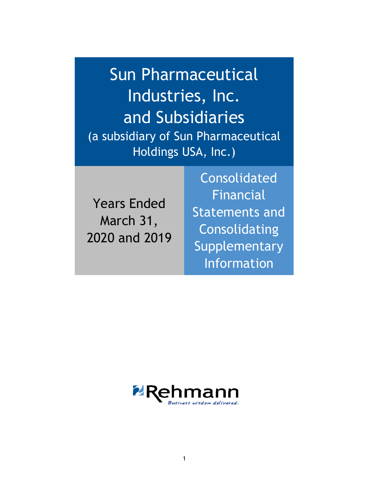Sun Pharmaceutical Industries, Inc. and Subsidiaries (a subsidiary of Sun Pharmaceutical Holdings USA, Inc.)

Years Ended March 31, 2020 and 2019

Consolidated Financial Statements and Consolidating **Supplementary** Information

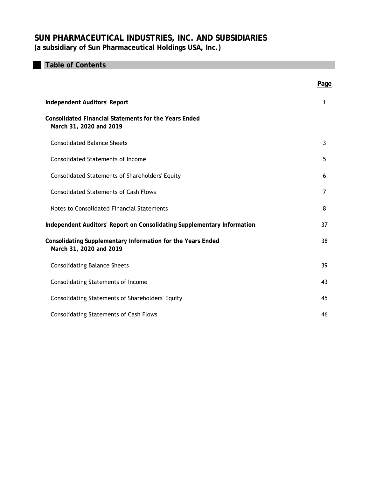# **Table of Contents**

|                                                                                         | Page |
|-----------------------------------------------------------------------------------------|------|
| <b>Independent Auditors' Report</b>                                                     | 1    |
| <b>Consolidated Financial Statements for the Years Ended</b><br>March 31, 2020 and 2019 |      |
| <b>Consolidated Balance Sheets</b>                                                      | 3    |
| <b>Consolidated Statements of Income</b>                                                | 5    |
| <b>Consolidated Statements of Shareholders' Equity</b>                                  | 6    |
| <b>Consolidated Statements of Cash Flows</b>                                            | 7    |
| Notes to Consolidated Financial Statements                                              | 8    |
| Independent Auditors' Report on Consolidating Supplementary Information                 | 37   |
| Consolidating Supplementary Information for the Years Ended<br>March 31, 2020 and 2019  | 38   |
| <b>Consolidating Balance Sheets</b>                                                     | 39   |
| <b>Consolidating Statements of Income</b>                                               | 43   |
| <b>Consolidating Statements of Shareholders' Equity</b>                                 | 45   |
| <b>Consolidating Statements of Cash Flows</b>                                           | 46   |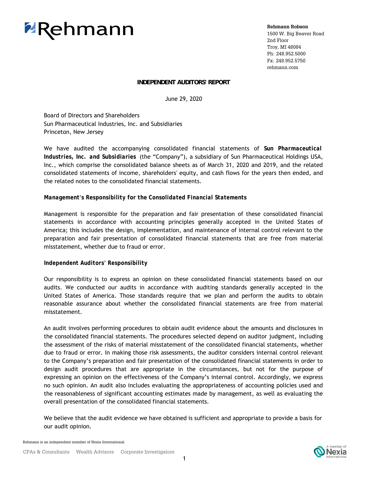# **ZRehmann**

**Rehmann Robson**

1500 W. Big Beaver Road 2nd Floor Troy, MI 48084 Ph: 248.952.5000 Fx: 248.952.5750 rehmann.com

# **INDEPENDENT AUDITORS' REPORT**

June 29, 2020

 Princeton, New Jersey Board of Directors and Shareholders Sun Pharmaceutical Industries, Inc. and Subsidiaries

We have audited the accompanying consolidated financial statements of *Sun Pharmaceutical Industries, Inc. and Subsidiaries* (the "Company"), a subsidiary of Sun Pharmaceutical Holdings USA, Inc., which comprise the consolidated balance sheets as of March 31, 2020 and 2019, and the related consolidated statements of income, shareholders' equity, and cash flows for the years then ended, and the related notes to the consolidated financial statements.

# *Management's Responsibility for the Consolidated Financial Statements*

Management is responsible for the preparation and fair presentation of these consolidated financial statements in accordance with accounting principles generally accepted in the United States of America; this includes the design, implementation, and maintenance of internal control relevant to the preparation and fair presentation of consolidated financial statements that are free from material misstatement, whether due to fraud or error.

# *Independent Auditors' Responsibility*

Our responsibility is to express an opinion on these consolidated financial statements based on our audits. We conducted our audits in accordance with auditing standards generally accepted in the United States of America. Those standards require that we plan and perform the audits to obtain reasonable assurance about whether the consolidated financial statements are free from material misstatement.

An audit involves performing procedures to obtain audit evidence about the amounts and disclosures in the consolidated financial statements. The procedures selected depend on auditor judgment, including the assessment of the risks of material misstatement of the consolidated financial statements, whether due to fraud or error. In making those risk assessments, the auditor considers internal control relevant to the Company's preparation and fair presentation of the consolidated financial statements in order to design audit procedures that are appropriate in the circumstances, but not for the purpose of expressing an opinion on the effectiveness of the Company's internal control. Accordingly, we express no such opinion. An audit also includes evaluating the appropriateness of accounting policies used and the reasonableness of significant accounting estimates made by management, as well as evaluating the overall presentation of the consolidated financial statements.

We believe that the audit evidence we have obtained is sufficient and appropriate to provide a basis for our audit opinion.

Rehmann is an independent member of Nexia International.

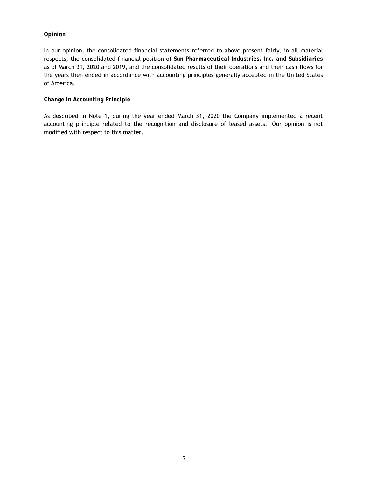# *Opinion*

In our opinion, the consolidated financial statements referred to above present fairly, in all material respects, the consolidated financial position of *Sun Pharmaceutical Industries, Inc. and Subsidiaries* as of March 31, 2020 and 2019, and the consolidated results of their operations and their cash flows for the years then ended in accordance with accounting principles generally accepted in the United States of America.

# *Change in Accounting Principle*

As described in Note 1, during the year ended March 31, 2020 the Company implemented a recent accounting principle related to the recognition and disclosure of leased assets. Our opinion is not modified with respect to this matter.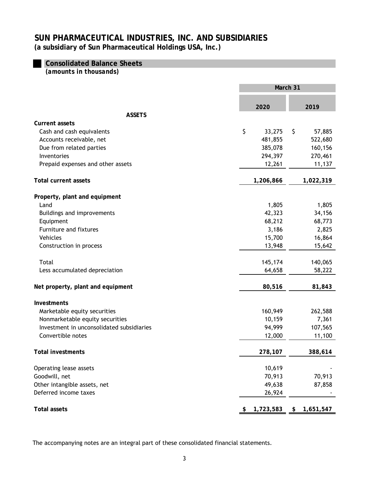# **Consolidated Balance Sheets**

*(amounts in thousands)*

|                                           | March 31     |    |           |  |
|-------------------------------------------|--------------|----|-----------|--|
|                                           | 2020         |    | 2019      |  |
| <b>ASSETS</b>                             |              |    |           |  |
| <b>Current assets</b>                     |              |    |           |  |
| Cash and cash equivalents                 | \$<br>33,275 | \$ | 57,885    |  |
| Accounts receivable, net                  | 481,855      |    | 522,680   |  |
| Due from related parties                  | 385,078      |    | 160,156   |  |
| Inventories                               | 294,397      |    | 270,461   |  |
| Prepaid expenses and other assets         | 12,261       |    | 11,137    |  |
| <b>Total current assets</b>               | 1,206,866    |    | 1,022,319 |  |
| Property, plant and equipment             |              |    |           |  |
| Land                                      | 1,805        |    | 1,805     |  |
| Buildings and improvements                | 42,323       |    | 34,156    |  |
| Equipment                                 | 68,212       |    | 68,773    |  |
| Furniture and fixtures                    | 3,186        |    | 2,825     |  |
| Vehicles                                  | 15,700       |    | 16,864    |  |
| Construction in process                   | 13,948       |    | 15,642    |  |
| Total                                     | 145,174      |    | 140,065   |  |
| Less accumulated depreciation             | 64,658       |    | 58,222    |  |
| Net property, plant and equipment         | 80,516       |    | 81,843    |  |
| Investments                               |              |    |           |  |
| Marketable equity securities              | 160,949      |    | 262,588   |  |
| Nonmarketable equity securities           | 10,159       |    | 7,361     |  |
| Investment in unconsolidated subsidiaries | 94,999       |    | 107,565   |  |
| Convertible notes                         | 12,000       |    | 11,100    |  |
| Total investments                         | 278,107      |    | 388,614   |  |
| Operating lease assets                    | 10,619       |    |           |  |
| Goodwill, net                             | 70,913       |    | 70,913    |  |
| Other intangible assets, net              | 49,638       |    | 87,858    |  |
| Deferred income taxes                     | 26,924       |    |           |  |
| <b>Total assets</b>                       | 1,723,583    |    | 1,651,547 |  |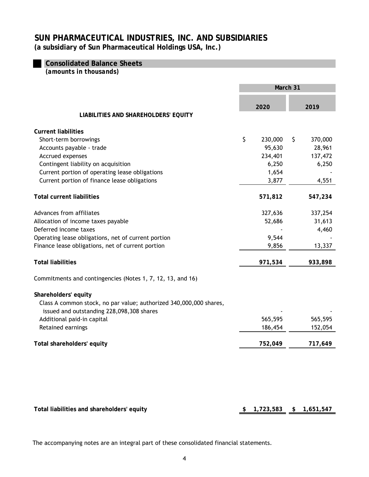**Consolidated Balance Sheets** 

*(amounts in thousands)*

|                                                                    | March 31        |    |           |
|--------------------------------------------------------------------|-----------------|----|-----------|
|                                                                    | 2020            |    | 2019      |
| LIABILITIES AND SHAREHOLDERS' EQUITY                               |                 |    |           |
| <b>Current liabilities</b>                                         |                 |    |           |
| Short-term borrowings                                              | \$<br>230,000   | \$ | 370,000   |
| Accounts payable - trade                                           | 95,630          |    | 28,961    |
| Accrued expenses                                                   | 234,401         |    | 137,472   |
| Contingent liability on acquisition                                | 6,250           |    | 6,250     |
| Current portion of operating lease obligations                     | 1,654           |    |           |
| Current portion of finance lease obligations                       | 3,877           |    | 4,551     |
| <b>Total current liabilities</b>                                   | 571,812         |    | 547,234   |
| Advances from affiliates                                           | 327,636         |    | 337,254   |
| Allocation of income taxes payable                                 | 52,686          |    | 31,613    |
| Deferred income taxes                                              |                 |    | 4,460     |
| Operating lease obligations, net of current portion                | 9,544           |    |           |
| Finance lease obligations, net of current portion                  | 9,856           |    | 13,337    |
| <b>Total liabilities</b>                                           | 971,534         |    | 933,898   |
| Commitments and contingencies (Notes 1, 7, 12, 13, and 16)         |                 |    |           |
| Shareholders' equity                                               |                 |    |           |
| Class A common stock, no par value; authorized 340,000,000 shares, |                 |    |           |
| issued and outstanding 228,098,308 shares                          |                 |    |           |
| Additional paid-in capital                                         | 565,595         |    | 565,595   |
| Retained earnings                                                  | 186,454         |    | 152,054   |
| Total shareholders' equity                                         | 752,049         |    | 717,649   |
|                                                                    |                 |    |           |
| Total liabilities and shareholders' equity                         | \$<br>1,723,583 | \$ | 1,651,547 |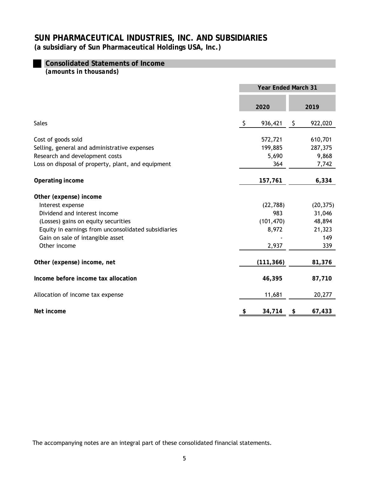# **Consolidated Statements of Income**

*(amounts in thousands)*

|                                                     |                | <b>Year Ended March 31</b> |
|-----------------------------------------------------|----------------|----------------------------|
|                                                     | 2020           | 2019                       |
| <b>Sales</b>                                        | -\$<br>936,421 | 922,020<br>- \$            |
| Cost of goods sold                                  | 572,721        | 610,701                    |
| Selling, general and administrative expenses        | 199,885        | 287,375                    |
| Research and development costs                      | 5,690          | 9,868                      |
| Loss on disposal of property, plant, and equipment  | 364            | 7,742                      |
| Operating income                                    | 157,761        | 6,334                      |
| Other (expense) income                              |                |                            |
| Interest expense                                    | (22, 788)      | (20, 375)                  |
| Dividend and interest income                        | 983            | 31,046                     |
| (Losses) gains on equity securities                 | (101, 470)     | 48,894                     |
| Equity in earnings from unconsolidated subsidiaries | 8,972          | 21,323                     |
| Gain on sale of intangible asset                    |                | 149                        |
| Other income                                        | 2,937          | 339                        |
| Other (expense) income, net                         | (111, 366)     | 81,376                     |
| Income before income tax allocation                 | 46,395         | 87,710                     |
| Allocation of income tax expense                    | 11,681         | 20,277                     |
| Net income                                          | 34,714         | 67,433<br>\$               |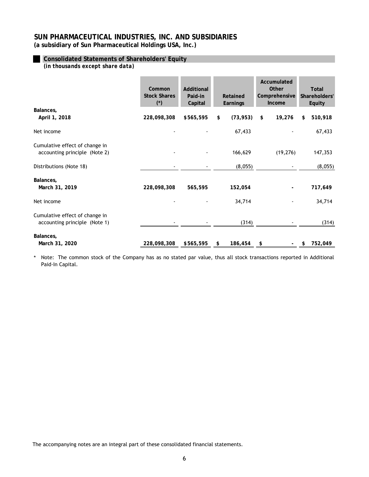**(a subsidiary of Sun Pharmaceutical Holdings USA, Inc.)**

# **Consolidated Statements of Shareholders' Equity**

*(in thousands except share data)*

|                                                                 | Common<br><b>Stock Shares</b><br>$(*)$ | Additional<br>Paid-in<br>Capital | Retained<br>Earnings | Accumulated<br>Other<br>Comprehensive<br>Income | <b>Total</b><br>Shareholders'<br>Equity |
|-----------------------------------------------------------------|----------------------------------------|----------------------------------|----------------------|-------------------------------------------------|-----------------------------------------|
| Balances,<br>April 1, 2018                                      | 228,098,308                            | \$565,595                        | (73, 953)<br>\$      | 19,276<br>\$                                    | 510,918<br>\$                           |
| Net income                                                      |                                        |                                  | 67,433               |                                                 | 67,433                                  |
| Cumulative effect of change in<br>accounting principle (Note 2) |                                        |                                  | 166,629              | (19, 276)                                       | 147,353                                 |
| Distributions (Note 18)                                         |                                        |                                  | (8,055)              |                                                 | (8,055)                                 |
| Balances,<br>March 31, 2019                                     | 228,098,308                            | 565,595                          | 152,054              |                                                 | 717,649                                 |
| Net income                                                      |                                        |                                  | 34,714               |                                                 | 34,714                                  |
| Cumulative effect of change in<br>accounting principle (Note 1) |                                        |                                  | (314)                |                                                 | (314)                                   |
| Balances,<br>March 31, 2020                                     | 228,098,308                            | \$565,595                        | $186,454$ \$<br>\$   |                                                 | 752,049<br>\$                           |

\* Note: The common stock of the Company has as no stated par value, thus all stock transactions reported in Additional Paid-In Capital.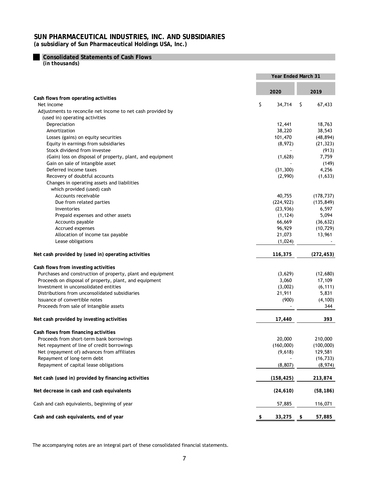**Consolidated Statements of Cash Flows**

*(in thousands)*

|                                                             | <b>Year Ended March 31</b> |                      |  |
|-------------------------------------------------------------|----------------------------|----------------------|--|
|                                                             | 2020                       | 2019                 |  |
| Cash flows from operating activities                        |                            |                      |  |
| Net income                                                  | \$<br>34,714               | \$.<br>67,433        |  |
| Adjustments to reconcile net income to net cash provided by |                            |                      |  |
| (used in) operating activities                              |                            |                      |  |
| Depreciation                                                | 12,441                     | 18,763               |  |
| Amortization                                                | 38,220                     | 38,543               |  |
| Losses (gains) on equity securities                         | 101,470                    | (48, 894)            |  |
| Equity in earnings from subsidiaries                        | (8,972)                    | (21, 323)            |  |
| Stock dividend from investee                                |                            | (913)                |  |
| (Gain) loss on disposal of property, plant, and equipment   | (1,628)                    | 7,759                |  |
| Gain on sale of intangible asset                            |                            | (149)                |  |
| Deferred income taxes                                       | (31, 300)                  | 4,256                |  |
| Recovery of doubtful accounts                               | (2,990)                    | (1,633)              |  |
| Changes in operating assets and liabilities                 |                            |                      |  |
| which provided (used) cash                                  |                            |                      |  |
| Accounts receivable                                         | 40,755                     | (178, 737)           |  |
| Due from related parties                                    | (224, 922)                 | (135, 849)           |  |
| Inventories                                                 | (23, 936)                  | 6,597                |  |
| Prepaid expenses and other assets                           | (1, 124)                   | 5,094                |  |
| Accounts payable                                            | 66,669                     | (36, 632)            |  |
| Accrued expenses                                            | 96,929                     | (10, 729)            |  |
| Allocation of income tax payable                            | 21,073                     | 13,961               |  |
| Lease obligations                                           | (1,024)                    |                      |  |
| Net cash provided by (used in) operating activities         | 116,375                    | (272, 453)           |  |
| Cash flows from investing activities                        |                            |                      |  |
| Purchases and construction of property, plant and equipment | (3,629)                    | (12,680)             |  |
| Proceeds on disposal of property, plant, and equipment      | 3,060                      | 17,109               |  |
| Investment in unconsolidated entities                       | (3,002)                    | (6, 111)             |  |
| Distributions from unconsolidated subsidiaries              | 21,911                     | 5,831                |  |
| Issuance of convertible notes                               | (900)                      | (4, 100)             |  |
| Proceeds from sale of intangible assets                     |                            | 344                  |  |
| Net cash provided by investing activities                   | 17,440                     | 393                  |  |
| Cash flows from financing activities                        |                            |                      |  |
| Proceeds from short-term bank borrowings                    | 20,000                     | 210,000              |  |
| Net repayment of line of credit borrowings                  | (160,000)                  | (100,000)            |  |
| Net (repayment of) advances from affiliates                 | (9,618)                    | 129,581              |  |
| Repayment of long-term debt                                 |                            | (16, 733)            |  |
| Repayment of capital lease obligations                      | (8, 807)                   | (8,974)              |  |
| Net cash (used in) provided by financing activities         | (158, 425)                 | 213,874              |  |
| Net decrease in cash and cash equivalents                   | (24, 610)                  | (58, 186)            |  |
| Cash and cash equivalents, beginning of year                | 57,885                     | 116,071              |  |
| Cash and cash equivalents, end of year                      | 33,275<br>\$               | 57,885<br>$\sqrt{3}$ |  |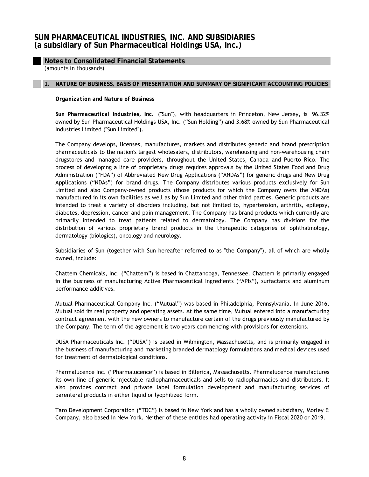**Notes to Consolidated Financial Statements**

*(amounts in thousands)*

### **1. NATURE OF BUSINESS, BASIS OF PRESENTATION AND SUMMARY OF SIGNIFICANT ACCOUNTING POLICIES**

*Organization and Nature of Business* 

*Sun Pharmaceutical Industries, Inc.* ("Sun"), with headquarters in Princeton, New Jersey, is 96.32% owned by Sun Pharmaceutical Holdings USA, Inc. ("Sun Holding") and 3.68% owned by Sun Pharmaceutical Industries Limited ("Sun Limited").

The Company develops, licenses, manufactures, markets and distributes generic and brand prescription pharmaceuticals to the nation's largest wholesalers, distributors, warehousing and non-warehousing chain drugstores and managed care providers, throughout the United States, Canada and Puerto Rico. The process of developing a line of proprietary drugs requires approvals by the United States Food and Drug Administration ("FDA") of Abbreviated New Drug Applications ("ANDAs") for generic drugs and New Drug Applications ("NDAs") for brand drugs. The Company distributes various products exclusively for Sun Limited and also Company-owned products (those products for which the Company owns the ANDAs) manufactured in its own facilities as well as by Sun Limited and other third parties. Generic products are intended to treat a variety of disorders including, but not limited to, hypertension, arthritis, epilepsy, diabetes, depression, cancer and pain management. The Company has brand products which currently are primarily intended to treat patients related to dermatology. The Company has divisions for the distribution of various proprietary brand products in the therapeutic categories of ophthalmology, dermatology (biologics), oncology and neurology.

Subsidiaries of Sun (together with Sun hereafter referred to as "the Company"), all of which are wholly owned, include:

Chattem Chemicals, Inc. ("Chattem") is based in Chattanooga, Tennessee. Chattem is primarily engaged in the business of manufacturing Active Pharmaceutical Ingredients ("APIs"), surfactants and aluminum performance additives.

Mutual Pharmaceutical Company Inc. ("Mutual") was based in Philadelphia, Pennsylvania. In June 2016, Mutual sold its real property and operating assets. At the same time, Mutual entered into a manufacturing contract agreement with the new owners to manufacture certain of the drugs previously manufactured by the Company. The term of the agreement is two years commencing with provisions for extensions.

DUSA Pharmaceuticals Inc. ("DUSA") is based in Wilmington, Massachusetts, and is primarily engaged in the business of manufacturing and marketing branded dermatology formulations and medical devices used for treatment of dermatological conditions.

Pharmalucence Inc. ("Pharmalucence") is based in Billerica, Massachusetts. Pharmalucence manufactures its own line of generic injectable radiopharmaceuticals and sells to radiopharmacies and distributors. It also provides contract and private label formulation development and manufacturing services of parenteral products in either liquid or lyophilized form.

Taro Development Corporation ("TDC") is based in New York and has a wholly owned subsidiary, Morley & Company, also based in New York. Neither of these entities had operating activity in Fiscal 2020 or 2019.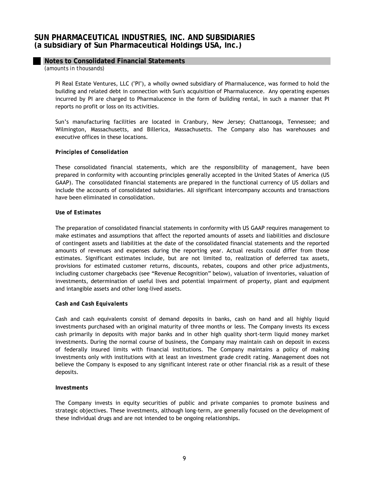# **Notes to Consolidated Financial Statements**

*(amounts in thousands)*

PI Real Estate Ventures, LLC ("PI"), a wholly owned subsidiary of Pharmalucence, was formed to hold the building and related debt in connection with Sun's acquisition of Pharmalucence. Any operating expenses incurred by PI are charged to Pharmalucence in the form of building rental, in such a manner that PI reports no profit or loss on its activities.

Sun's manufacturing facilities are located in Cranbury, New Jersey; Chattanooga, Tennessee; and Wilmington, Massachusetts, and Billerica, Massachusetts. The Company also has warehouses and executive offices in these locations.

#### *Principles of Consolidation*

These consolidated financial statements, which are the responsibility of management, have been prepared in conformity with accounting principles generally accepted in the United States of America (US GAAP). The consolidated financial statements are prepared in the functional currency of US dollars and include the accounts of consolidated subsidiaries. All significant intercompany accounts and transactions have been eliminated in consolidation.

#### *Use of Estimates*

The preparation of consolidated financial statements in conformity with US GAAP requires management to make estimates and assumptions that affect the reported amounts of assets and liabilities and disclosure of contingent assets and liabilities at the date of the consolidated financial statements and the reported amounts of revenues and expenses during the reporting year. Actual results could differ from those estimates. Significant estimates include, but are not limited to, realization of deferred tax assets, provisions for estimated customer returns, discounts, rebates, coupons and other price adjustments, including customer chargebacks (see "Revenue Recognition" below), valuation of inventories, valuation of investments, determination of useful lives and potential impairment of property, plant and equipment and intangible assets and other long-lived assets.

#### *Cash and Cash Equivalents*

Cash and cash equivalents consist of demand deposits in banks, cash on hand and all highly liquid investments purchased with an original maturity of three months or less. The Company invests its excess cash primarily in deposits with major banks and in other high quality short-term liquid money market investments. During the normal course of business, the Company may maintain cash on deposit in excess of federally insured limits with financial institutions. The Company maintains a policy of making investments only with institutions with at least an investment grade credit rating. Management does not believe the Company is exposed to any significant interest rate or other financial risk as a result of these deposits.

## *Investments*

The Company invests in equity securities of public and private companies to promote business and strategic objectives. These investments, although long-term, are generally focused on the development of these individual drugs and are not intended to be ongoing relationships.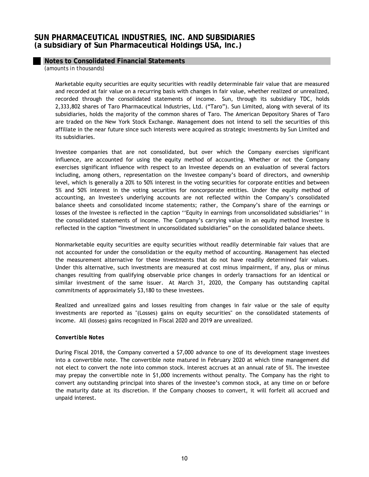# **Notes to Consolidated Financial Statements**

*(amounts in thousands)*

Marketable equity securities are equity securities with readily determinable fair value that are measured and recorded at fair value on a recurring basis with changes in fair value, whether realized or unrealized, recorded through the consolidated statements of income. Sun, through its subsidiary TDC, holds 2,333,802 shares of Taro Pharmaceutical Industries, Ltd. ("Taro"). Sun Limited, along with several of its subsidiaries, holds the majority of the common shares of Taro. The American Depository Shares of Taro are traded on the New York Stock Exchange. Management does not intend to sell the securities of this affiliate in the near future since such interests were acquired as strategic investments by Sun Limited and its subsidiaries.

Investee companies that are not consolidated, but over which the Company exercises significant influence, are accounted for using the equity method of accounting. Whether or not the Company exercises significant influence with respect to an Investee depends on an evaluation of several factors including, among others, representation on the Investee company's board of directors, and ownership level, which is generally a 20% to 50% interest in the voting securities for corporate entities and between 5% and 50% interest in the voting securities for noncorporate entities. Under the equity method of accounting, an Investee's underlying accounts are not reflected within the Company's consolidated balance sheets and consolidated income statements; rather, the Company's share of the earnings or losses of the Investee is reflected in the caption ''Equity in earnings from unconsolidated subsidiaries'' in the consolidated statements of income. The Company's carrying value in an equity method Investee is reflected in the caption "Investment in unconsolidated subsidiaries" on the consolidated balance sheets.

Nonmarketable equity securities are equity securities without readily determinable fair values that are not accounted for under the consolidation or the equity method of accounting. Management has elected the measurement alternative for these investments that do not have readily determined fair values. Under this alternative, such investments are measured at cost minus impairment, if any, plus or minus changes resulting from qualifying observable price changes in orderly transactions for an identical or similar investment of the same issuer. At March 31, 2020, the Company has outstanding capital commitments of approximately \$3,180 to these investees.

Realized and unrealized gains and losses resulting from changes in fair value or the sale of equity investments are reported as "(Losses) gains on equity securities" on the consolidated statements of income. All (losses) gains recognized in Fiscal 2020 and 2019 are unrealized.

## *Convertible Notes*

During Fiscal 2018, the Company converted a \$7,000 advance to one of its development stage investees into a convertible note. The convertible note matured in February 2020 at which time management did not elect to convert the note into common stock. Interest accrues at an annual rate of 5%. The investee may prepay the convertible note in \$1,000 increments without penalty. The Company has the right to convert any outstanding principal into shares of the investee's common stock, at any time on or before the maturity date at its discretion. If the Company chooses to convert, it will forfeit all accrued and unpaid interest.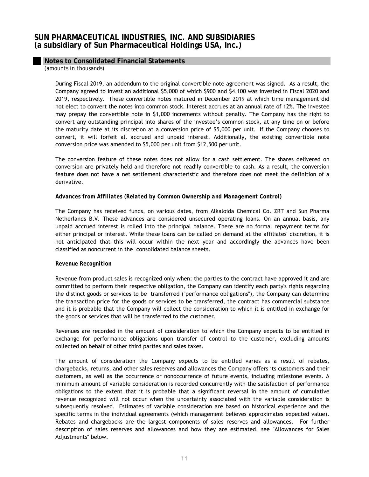# **Notes to Consolidated Financial Statements**

*(amounts in thousands)*

During Fiscal 2019, an addendum to the original convertible note agreement was signed. As a result, the Company agreed to invest an additional \$5,000 of which \$900 and \$4,100 was invested in Fiscal 2020 and 2019, respectively. These convertible notes matured in December 2019 at which time management did not elect to convert the notes into common stock. Interest accrues at an annual rate of 12%. The investee may prepay the convertible note in \$1,000 increments without penalty. The Company has the right to convert any outstanding principal into shares of the investee's common stock, at any time on or before the maturity date at its discretion at a conversion price of \$5,000 per unit. If the Company chooses to convert, it will forfeit all accrued and unpaid interest. Additionally, the existing convertible note conversion price was amended to \$5,000 per unit from \$12,500 per unit.

The conversion feature of these notes does not allow for a cash settlement. The shares delivered on conversion are privately held and therefore not readily convertible to cash. As a result, the conversion feature does not have a net settlement characteristic and therefore does not meet the definition of a derivative.

## *Advances from Affiliates (Related by Common Ownership and Management Control)*

The Company has received funds, on various dates, from Alkaloida Chemical Co. ZRT and Sun Pharma Netherlands B.V. These advances are considered unsecured operating loans. On an annual basis, any unpaid accrued interest is rolled into the principal balance. There are no formal repayment terms for either principal or interest. While these loans can be called on demand at the affiliates' discretion, it is not anticipated that this will occur within the next year and accordingly the advances have been classified as noncurrent in the consolidated balance sheets.

## *Revenue Recognition*

Revenue from product sales is recognized only when: the parties to the contract have approved it and are committed to perform their respective obligation, the Company can identify each party's rights regarding the distinct goods or services to be transferred ("performance obligations"), the Company can determine the transaction price for the goods or services to be transferred, the contract has commercial substance and it is probable that the Company will collect the consideration to which it is entitled in exchange for the goods or services that will be transferred to the customer.

Revenues are recorded in the amount of consideration to which the Company expects to be entitled in exchange for performance obligations upon transfer of control to the customer, excluding amounts collected on behalf of other third parties and sales taxes.

The amount of consideration the Company expects to be entitled varies as a result of rebates, chargebacks, returns, and other sales reserves and allowances the Company offers its customers and their customers, as well as the occurrence or nonoccurrence of future events, including milestone events. A minimum amount of variable consideration is recorded concurrently with the satisfaction of performance obligations to the extent that it is probable that a significant reversal in the amount of cumulative revenue recognized will not occur when the uncertainty associated with the variable consideration is subsequently resolved. Estimates of variable consideration are based on historical experience and the specific terms in the individual agreements (which management believes approximates expected value). Rebates and chargebacks are the largest components of sales reserves and allowances. For further description of sales reserves and allowances and how they are estimated, see "Allowances for Sales Adjustments" below.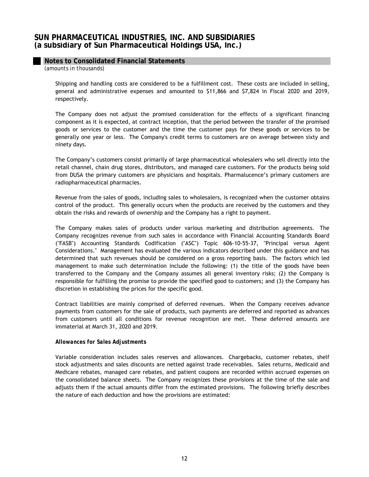# **Notes to Consolidated Financial Statements**

*(amounts in thousands)*

Shipping and handling costs are considered to be a fulfillment cost. These costs are included in selling, general and administrative expenses and amounted to \$11,866 and \$7,824 in Fiscal 2020 and 2019, respectively.

The Company does not adjust the promised consideration for the effects of a significant financing component as it is expected, at contract inception, that the period between the transfer of the promised goods or services to the customer and the time the customer pays for these goods or services to be generally one year or less. The Company's credit terms to customers are on average between sixty and ninety days.

The Company's customers consist primarily of large pharmaceutical wholesalers who sell directly into the retail channel, chain drug stores, distributors, and managed care customers. For the products being sold from DUSA the primary customers are physicians and hospitals. Pharmalucence's primary customers are radiopharmaceutical pharmacies.

Revenue from the sales of goods, including sales to wholesalers, is recognized when the customer obtains control of the product. This generally occurs when the products are received by the customers and they obtain the risks and rewards of ownership and the Company has a right to payment.

The Company makes sales of products under various marketing and distribution agreements. The Company recognizes revenue from such sales in accordance with Financial Accounting Standards Board ("FASB") Accounting Standards Codification ("ASC") Topic 606-10-55-37, "Principal versus Agent Considerations." Management has evaluated the various indicators described under this guidance and has determined that such revenues should be considered on a gross reporting basis. The factors which led management to make such determination include the following: (1) the title of the goods have been transferred to the Company and the Company assumes all general inventory risks; (2) the Company is responsible for fulfilling the promise to provide the specified good to customers; and (3) the Company has discretion in establishing the prices for the specific good.

Contract liabilities are mainly comprised of deferred revenues. When the Company receives advance payments from customers for the sale of products, such payments are deferred and reported as advances from customers until all conditions for revenue recognition are met. These deferred amounts are immaterial at March 31, 2020 and 2019.

## *Allowances for Sales Adjustments*

Variable consideration includes sales reserves and allowances. Chargebacks, customer rebates, shelf stock adjustments and sales discounts are netted against trade receivables. Sales returns, Medicaid and Medicare rebates, managed care rebates, and patient coupons are recorded within accrued expenses on the consolidated balance sheets. The Company recognizes these provisions at the time of the sale and adjusts them if the actual amounts differ from the estimated provisions. The following briefly describes the nature of each deduction and how the provisions are estimated: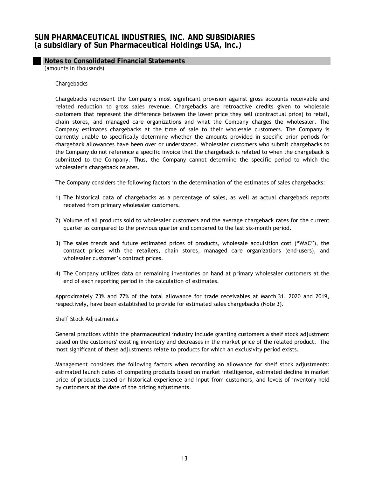# **Notes to Consolidated Financial Statements**

*(amounts in thousands)*

#### *Chargebacks*

Chargebacks represent the Company's most significant provision against gross accounts receivable and related reduction to gross sales revenue. Chargebacks are retroactive credits given to wholesale customers that represent the difference between the lower price they sell (contractual price) to retail, chain stores, and managed care organizations and what the Company charges the wholesaler. The Company estimates chargebacks at the time of sale to their wholesale customers. The Company is currently unable to specifically determine whether the amounts provided in specific prior periods for chargeback allowances have been over or understated. Wholesaler customers who submit chargebacks to the Company do not reference a specific invoice that the chargeback is related to when the chargeback is submitted to the Company. Thus, the Company cannot determine the specific period to which the wholesaler's chargeback relates.

The Company considers the following factors in the determination of the estimates of sales chargebacks:

- 1) The historical data of chargebacks as a percentage of sales, as well as actual chargeback reports received from primary wholesaler customers.
- 2) Volume of all products sold to wholesaler customers and the average chargeback rates for the current quarter as compared to the previous quarter and compared to the last six-month period.
- 3) The sales trends and future estimated prices of products, wholesale acquisition cost ("WAC"), the contract prices with the retailers, chain stores, managed care organizations (end-users), and wholesaler customer's contract prices.
- 4) The Company utilizes data on remaining inventories on hand at primary wholesaler customers at the end of each reporting period in the calculation of estimates.

Approximately 73% and 77% of the total allowance for trade receivables at March 31, 2020 and 2019, respectively, have been established to provide for estimated sales chargebacks (Note 3).

#### *Shelf Stock Adjustments*

General practices within the pharmaceutical industry include granting customers a shelf stock adjustment based on the customers' existing inventory and decreases in the market price of the related product. The most significant of these adjustments relate to products for which an exclusivity period exists.

Management considers the following factors when recording an allowance for shelf stock adjustments: estimated launch dates of competing products based on market intelligence, estimated decline in market price of products based on historical experience and input from customers, and levels of inventory held by customers at the date of the pricing adjustments.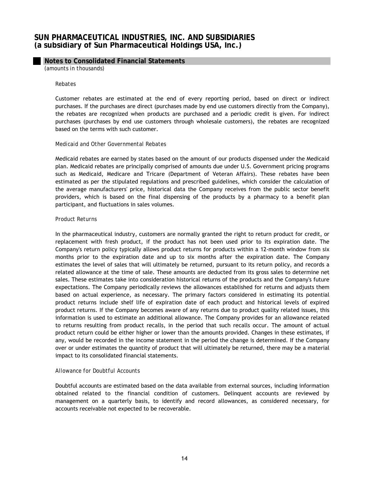## **Notes to Consolidated Financial Statements**

*(amounts in thousands)*

#### *Rebates*

Customer rebates are estimated at the end of every reporting period, based on direct or indirect purchases. If the purchases are direct (purchases made by end use customers directly from the Company), the rebates are recognized when products are purchased and a periodic credit is given. For indirect purchases (purchases by end use customers through wholesale customers), the rebates are recognized based on the terms with such customer.

#### *Medicaid and Other Governmental Rebates*

Medicaid rebates are earned by states based on the amount of our products dispensed under the Medicaid plan. Medicaid rebates are principally comprised of amounts due under U.S. Government pricing programs such as Medicaid, Medicare and Tricare (Department of Veteran Affairs). These rebates have been estimated as per the stipulated regulations and prescribed guidelines, which consider the calculation of the average manufacturers' price, historical data the Company receives from the public sector benefit providers, which is based on the final dispensing of the products by a pharmacy to a benefit plan participant, and fluctuations in sales volumes.

#### *Product Returns*

In the pharmaceutical industry, customers are normally granted the right to return product for credit, or replacement with fresh product, if the product has not been used prior to its expiration date. The Company's return policy typically allows product returns for products within a 12-month window from six months prior to the expiration date and up to six months after the expiration date. The Company estimates the level of sales that will ultimately be returned, pursuant to its return policy, and records a related allowance at the time of sale. These amounts are deducted from its gross sales to determine net sales. These estimates take into consideration historical returns of the products and the Company's future expectations. The Company periodically reviews the allowances established for returns and adjusts them based on actual experience, as necessary. The primary factors considered in estimating its potential product returns include shelf life of expiration date of each product and historical levels of expired product returns. If the Company becomes aware of any returns due to product quality related issues, this information is used to estimate an additional allowance. The Company provides for an allowance related to returns resulting from product recalls, in the period that such recalls occur. The amount of actual product return could be either higher or lower than the amounts provided. Changes in these estimates, if any, would be recorded in the income statement in the period the change is determined. If the Company over or under estimates the quantity of product that will ultimately be returned, there may be a material impact to its consolidated financial statements.

## *Allowance for Doubtful Accounts*

Doubtful accounts are estimated based on the data available from external sources, including information obtained related to the financial condition of customers. Delinquent accounts are reviewed by management on a quarterly basis, to identify and record allowances, as considered necessary, for accounts receivable not expected to be recoverable.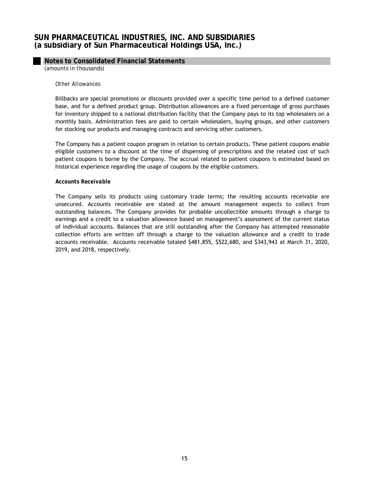## **Notes to Consolidated Financial Statements**

*(amounts in thousands)*

#### *Other Allowances*

Billbacks are special promotions or discounts provided over a specific time period to a defined customer base, and for a defined product group. Distribution allowances are a fixed percentage of gross purchases for inventory shipped to a national distribution facility that the Company pays to its top wholesalers on a monthly basis. Administration fees are paid to certain wholesalers, buying groups, and other customers for stocking our products and managing contracts and servicing other customers.

The Company has a patient coupon program in relation to certain products. These patient coupons enable eligible customers to a discount at the time of dispensing of prescriptions and the related cost of such patient coupons is borne by the Company. The accrual related to patient coupons is estimated based on historical experience regarding the usage of coupons by the eligible customers.

#### *Accounts Receivable*

The Company sells its products using customary trade terms; the resulting accounts receivable are unsecured. Accounts receivable are stated at the amount management expects to collect from outstanding balances. The Company provides for probable uncollectible amounts through a charge to earnings and a credit to a valuation allowance based on management's assessment of the current status of individual accounts. Balances that are still outstanding after the Company has attempted reasonable collection efforts are written off through a charge to the valuation allowance and a credit to trade accounts receivable. Accounts receivable totaled \$481,855, \$522,680, and \$343,943 at March 31, 2020, 2019, and 2018, respectively.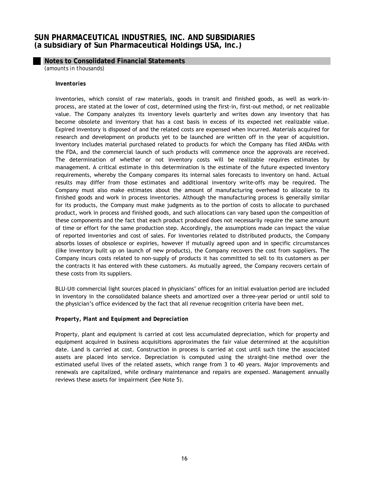# **Notes to Consolidated Financial Statements**

*(amounts in thousands)*

#### *Inventories*

Inventories, which consist of raw materials, goods in transit and finished goods, as well as work-inprocess, are stated at the lower of cost, determined using the first-in, first-out method, or net realizable value. The Company analyzes its inventory levels quarterly and writes down any inventory that has become obsolete and inventory that has a cost basis in excess of its expected net realizable value. Expired inventory is disposed of and the related costs are expensed when incurred. Materials acquired for research and development on products yet to be launched are written off in the year of acquisition. Inventory includes material purchased related to products for which the Company has filed ANDAs with the FDA, and the commercial launch of such products will commence once the approvals are received. The determination of whether or not inventory costs will be realizable requires estimates by management. A critical estimate in this determination is the estimate of the future expected inventory requirements, whereby the Company compares its internal sales forecasts to inventory on hand. Actual results may differ from those estimates and additional inventory write-offs may be required. The Company must also make estimates about the amount of manufacturing overhead to allocate to its finished goods and work in process inventories. Although the manufacturing process is generally similar for its products, the Company must make judgments as to the portion of costs to allocate to purchased product, work in process and finished goods, and such allocations can vary based upon the composition of these components and the fact that each product produced does not necessarily require the same amount of time or effort for the same production step. Accordingly, the assumptions made can impact the value of reported inventories and cost of sales. For inventories related to distributed products, the Company absorbs losses of obsolesce or expiries, however if mutually agreed upon and in specific circumstances (like inventory built up on launch of new products), the Company recovers the cost from suppliers. The Company incurs costs related to non-supply of products it has committed to sell to its customers as per the contracts it has entered with these customers. As mutually agreed, the Company recovers certain of these costs from its suppliers.

BLU-U® commercial light sources placed in physicians' offices for an initial evaluation period are included in inventory in the consolidated balance sheets and amortized over a three-year period or until sold to the physician's office evidenced by the fact that all revenue recognition criteria have been met.

## *Property, Plant and Equipment and Depreciation*

Property, plant and equipment is carried at cost less accumulated depreciation, which for property and equipment acquired in business acquisitions approximates the fair value determined at the acquisition date. Land is carried at cost. Construction in process is carried at cost until such time the associated assets are placed into service. Depreciation is computed using the straight-line method over the estimated useful lives of the related assets, which range from 3 to 40 years. Major improvements and renewals are capitalized, while ordinary maintenance and repairs are expensed. Management annually reviews these assets for impairment (See Note 5).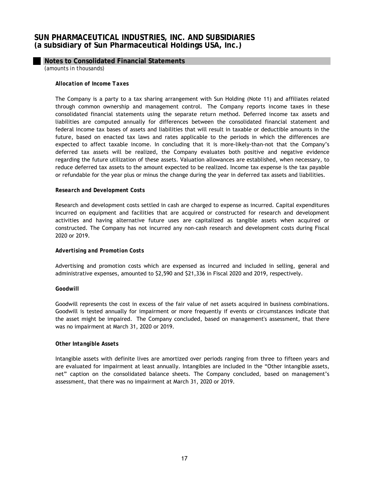## **Notes to Consolidated Financial Statements**

*(amounts in thousands)*

### *Allocation of Income Taxes*

The Company is a party to a tax sharing arrangement with Sun Holding (Note 11) and affiliates related through common ownership and management control. The Company reports income taxes in these consolidated financial statements using the separate return method. Deferred income tax assets and liabilities are computed annually for differences between the consolidated financial statement and federal income tax bases of assets and liabilities that will result in taxable or deductible amounts in the future, based on enacted tax laws and rates applicable to the periods in which the differences are expected to affect taxable income. In concluding that it is more-likely-than-not that the Company's deferred tax assets will be realized, the Company evaluates both positive and negative evidence regarding the future utilization of these assets. Valuation allowances are established, when necessary, to reduce deferred tax assets to the amount expected to be realized. Income tax expense is the tax payable or refundable for the year plus or minus the change during the year in deferred tax assets and liabilities.

#### *Research and Development Costs*

Research and development costs settled in cash are charged to expense as incurred. Capital expenditures incurred on equipment and facilities that are acquired or constructed for research and development activities and having alternative future uses are capitalized as tangible assets when acquired or constructed. The Company has not incurred any non-cash research and development costs during Fiscal 2020 or 2019.

## *Advertising and Promotion Costs*

Advertising and promotion costs which are expensed as incurred and included in selling, general and administrative expenses, amounted to \$2,590 and \$21,336 in Fiscal 2020 and 2019, respectively.

## *Goodwill*

Goodwill represents the cost in excess of the fair value of net assets acquired in business combinations. Goodwill is tested annually for impairment or more frequently if events or circumstances indicate that the asset might be impaired. The Company concluded, based on management's assessment, that there was no impairment at March 31, 2020 or 2019.

## *Other Intangible Assets*

Intangible assets with definite lives are amortized over periods ranging from three to fifteen years and are evaluated for impairment at least annually. Intangibles are included in the "Other intangible assets, net" caption on the consolidated balance sheets. The Company concluded, based on management's assessment, that there was no impairment at March 31, 2020 or 2019.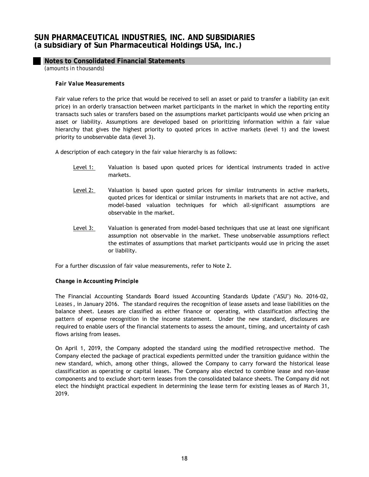# **Notes to Consolidated Financial Statements**

*(amounts in thousands)*

### *Fair Value Measurements*

Fair value refers to the price that would be received to sell an asset or paid to transfer a liability (an exit price) in an orderly transaction between market participants in the market in which the reporting entity transacts such sales or transfers based on the assumptions market participants would use when pricing an asset or liability. Assumptions are developed based on prioritizing information within a fair value hierarchy that gives the highest priority to quoted prices in active markets (level 1) and the lowest priority to unobservable data (level 3).

A description of each category in the fair value hierarchy is as follows:

- Level 1: Valuation is based upon quoted prices for identical instruments traded in active markets.
- Level 2: Valuation is based upon quoted prices for similar instruments in active markets, quoted prices for identical or similar instruments in markets that are not active, and model-based valuation techniques for which all-significant assumptions are observable in the market.
- Level 3: Valuation is generated from model-based techniques that use at least one significant assumption not observable in the market. These unobservable assumptions reflect the estimates of assumptions that market participants would use in pricing the asset or liability.

For a further discussion of fair value measurements, refer to Note 2.

## *Change in Accounting Principle*

The Financial Accounting Standards Board issued Accounting Standards Update ("ASU") No. 2016-02, *Leases* , in January 2016. The standard requires the recognition of lease assets and lease liabilities on the balance sheet. Leases are classified as either finance or operating, with classification affecting the pattern of expense recognition in the income statement. Under the new standard, disclosures are required to enable users of the financial statements to assess the amount, timing, and uncertainty of cash flows arising from leases.

On April 1, 2019, the Company adopted the standard using the modified retrospective method. The Company elected the package of practical expedients permitted under the transition guidance within the new standard, which, among other things, allowed the Company to carry forward the historical lease classification as operating or capital leases. The Company also elected to combine lease and non-lease components and to exclude short-term leases from the consolidated balance sheets. The Company did not elect the hindsight practical expedient in determining the lease term for existing leases as of March 31, 2019.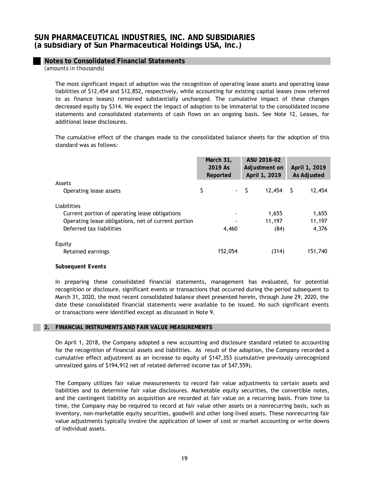# **Notes to Consolidated Financial Statements**

*(amounts in thousands)*

The most significant impact of adoption was the recognition of operating lease assets and operating lease liabilities of \$12,454 and \$12,852, respectively, while accounting for existing capital leases (now referred to as finance leases) remained substantially unchanged. The cumulative impact of these changes decreased equity by \$314. We expect the impact of adoption to be immaterial to the consolidated income statements and consolidated statements of cash flows on an ongoing basis. See Note 12, Leases, for additional lease disclosures.

The cumulative effect of the changes made to the consolidated balance sheets for the adoption of this standard was as follows:

|                                                     | March 31,<br>2019 As<br>Reported | ASU 2016-02<br>Adjustment on<br>April 1, 2019 | April 1, 2019<br>As Adjusted |
|-----------------------------------------------------|----------------------------------|-----------------------------------------------|------------------------------|
| Assets                                              |                                  |                                               |                              |
| Operating lease assets                              | \$                               | - \$<br>12,454                                | 12,454<br>-S                 |
| Liabilities                                         |                                  |                                               |                              |
| Current portion of operating lease obligations      | $\blacksquare$                   | 1,655                                         | 1,655                        |
| Operating lease obligations, net of current portion |                                  | 11,197                                        | 11,197                       |
| Deferred tax liabilities                            | 4,460                            | (84)                                          | 4,376                        |
| Equity                                              |                                  |                                               |                              |
| Retained earnings                                   | 152,054                          | (314)                                         | 151,740                      |

## *Subsequent Events*

In preparing these consolidated financial statements, management has evaluated, for potential recognition or disclosure, significant events or transactions that occurred during the period subsequent to March 31, 2020, the most recent consolidated balance sheet presented herein, through June 29, 2020, the date these consolidated financial statements were available to be issued. No such significant events or transactions were identified except as discussed in Note 9.

#### **2. FINANCIAL INSTRUMENTS AND FAIR VALUE MEASUREMENTS**

On April 1, 2018, the Company adopted a new accounting and disclosure standard related to accounting for the recognition of financial assets and liabilities. As result of the adoption, the Company recorded a cumulative effect adjustment as an increase to equity of \$147,353 (cumulative previously unrecognized unrealized gains of \$194,912 net of related deferred income tax of \$47,559).

The Company utilizes fair value measurements to record fair value adjustments to certain assets and liabilities and to determine fair value disclosures. Marketable equity securities, the convertible notes, and the contingent liability on acquisition are recorded at fair value on a recurring basis. From time to time, the Company may be required to record at fair value other assets on a nonrecurring basis, such as inventory, non-marketable equity securities, goodwill and other long-lived assets. These nonrecurring fair value adjustments typically involve the application of lower of cost or market accounting or write downs of individual assets.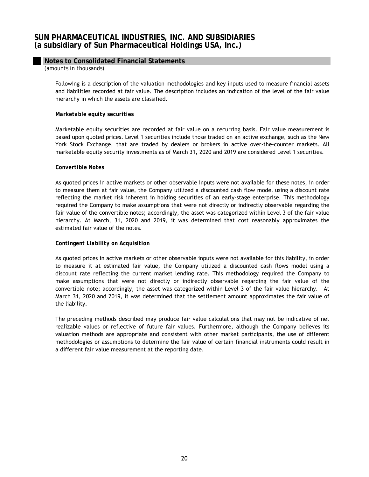# **Notes to Consolidated Financial Statements**

*(amounts in thousands)*

Following is a description of the valuation methodologies and key inputs used to measure financial assets and liabilities recorded at fair value. The description includes an indication of the level of the fair value hierarchy in which the assets are classified.

## *Marketable equity securities*

Marketable equity securities are recorded at fair value on a recurring basis. Fair value measurement is based upon quoted prices. Level 1 securities include those traded on an active exchange, such as the New York Stock Exchange, that are traded by dealers or brokers in active over-the-counter markets. All marketable equity security investments as of March 31, 2020 and 2019 are considered Level 1 securities.

## *Convertible Notes*

As quoted prices in active markets or other observable inputs were not available for these notes, in order to measure them at fair value, the Company utilized a discounted cash flow model using a discount rate reflecting the market risk inherent in holding securities of an early-stage enterprise. This methodology required the Company to make assumptions that were not directly or indirectly observable regarding the fair value of the convertible notes; accordingly, the asset was categorized within Level 3 of the fair value hierarchy. At March, 31, 2020 and 2019, it was determined that cost reasonably approximates the estimated fair value of the notes.

## *Contingent Liability on Acquisition*

As quoted prices in active markets or other observable inputs were not available for this liability, in order to measure it at estimated fair value, the Company utilized a discounted cash flows model using a discount rate reflecting the current market lending rate. This methodology required the Company to make assumptions that were not directly or indirectly observable regarding the fair value of the convertible note; accordingly, the asset was categorized within Level 3 of the fair value hierarchy. At March 31, 2020 and 2019, it was determined that the settlement amount approximates the fair value of the liability.

The preceding methods described may produce fair value calculations that may not be indicative of net realizable values or reflective of future fair values. Furthermore, although the Company believes its valuation methods are appropriate and consistent with other market participants, the use of different methodologies or assumptions to determine the fair value of certain financial instruments could result in a different fair value measurement at the reporting date.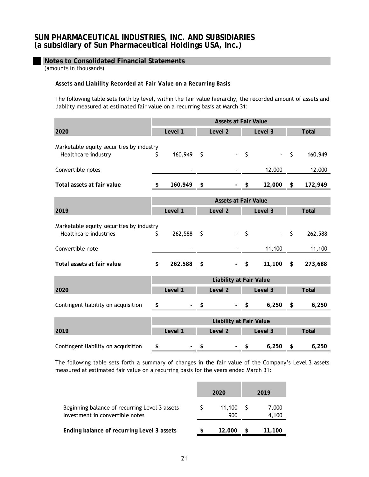# **Notes to Consolidated Financial Statements**

*(amounts in thousands)*

# *Assets and Liability Recorded at Fair Value on a Recurring Basis*

The following table sets forth by level, within the fair value hierarchy, the recorded amount of assets and liability measured at estimated fair value on a recurring basis at March 31:

|                                                                   | <b>Assets at Fair Value</b>    |         |    |                                |         |             |            |              |
|-------------------------------------------------------------------|--------------------------------|---------|----|--------------------------------|---------|-------------|------------|--------------|
| 2020                                                              |                                | Level 1 |    | Level <sub>2</sub>             |         | Level 3     |            | <b>Total</b> |
| Marketable equity securities by industry<br>Healthcare industry   | \$                             | 160,949 | \$ |                                | $\zeta$ |             | $\sqrt{5}$ | 160,949      |
| Convertible notes                                                 |                                |         |    |                                |         | 12,000      |            | 12,000       |
| Total assets at fair value                                        | \$                             | 160,949 | \$ |                                | \$      | $12,000$ \$ |            | 172,949      |
|                                                                   | <b>Assets at Fair Value</b>    |         |    |                                |         |             |            |              |
| 2019                                                              |                                | Level 1 |    | Level 2                        |         | Level 3     |            | <b>Total</b> |
| Marketable equity securities by industry<br>Healthcare industries | \$                             | 262,588 | \$ |                                | \$      |             | \$         | 262,588      |
| Convertible note                                                  |                                |         |    |                                |         | 11,100      |            | 11,100       |
| Total assets at fair value                                        | \$                             | 262,588 | \$ |                                | \$      | 11,100      | \$         | 273,688      |
|                                                                   |                                |         |    | <b>Liability at Fair Value</b> |         |             |            |              |
| 2020                                                              |                                | Level 1 |    | Level <sub>2</sub>             |         | Level 3     |            | <b>Total</b> |
| Contingent liability on acquisition                               | \$                             |         | \$ |                                | \$      | 6,250       | \$         | 6,250        |
|                                                                   | <b>Liability at Fair Value</b> |         |    |                                |         |             |            |              |
| 2019                                                              |                                | Level 1 |    | Level <sub>2</sub>             |         | Level 3     |            | <b>Total</b> |
| Contingent liability on acquisition                               | \$                             |         | \$ |                                | \$      | 6,250       | \$         | 6,250        |

The following table sets forth a summary of changes in the fair value of the Company's Level 3 assets measured at estimated fair value on a recurring basis for the years ended March 31:

|                                                                                  | 2020          | 2019           |
|----------------------------------------------------------------------------------|---------------|----------------|
| Beginning balance of recurring Level 3 assets<br>Investment in convertible notes | 11.100<br>900 | 7,000<br>4,100 |
| Ending balance of recurring Level 3 assets                                       | 12,000        | 11,100         |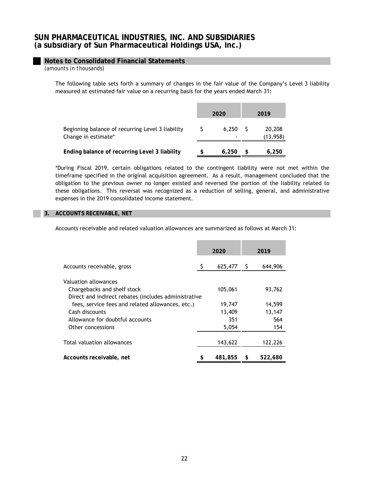# **Notes to Consolidated Financial Statements**

*(amounts in thousands)*

The following table sets forth a summary of changes in the fair value of the Company's Level 3 liability measured at estimated fair value on a recurring basis for the years ended March 31:

|                                                                         | 2020  | 2019                |
|-------------------------------------------------------------------------|-------|---------------------|
| Beginning balance of recurring Level 3 liability<br>Change in estimate* | 6.250 | 20,208<br>(13, 958) |
| Ending balance of recurring Level 3 liability                           | 6.250 | 6,250               |

\*During Fiscal 2019, certain obligations related to the contingent liability were not met within the timeframe specified in the original acquisition agreement. As a result, management concluded that the obligation to the previous owner no longer existed and reversed the portion of the liability related to these obligations. This reversal was recognized as a reduction of selling, general, and administrative expenses in the 2019 consolidated income statement.

## **3. ACCOUNTS RECEIVABLE, NET**

Accounts receivable and related valuation allowances are summarized as follows at March 31:

|                                                      | 2020          | 2019 |         |  |
|------------------------------------------------------|---------------|------|---------|--|
| Accounts receivable, gross                           | \$<br>625,477 | - S  | 644,906 |  |
| Valuation allowances                                 |               |      |         |  |
| Chargebacks and shelf stock                          | 105,061       |      | 93,762  |  |
| Direct and indirect rebates (includes administrative |               |      |         |  |
| fees, service fees and related allowances, etc.)     | 19,747        |      | 14,599  |  |
| Cash discounts                                       | 13,409        |      | 13,147  |  |
| Allowance for doubtful accounts                      | 351           |      | 564     |  |
| Other concessions                                    | 5,054         |      | 154     |  |
|                                                      |               |      |         |  |
| Total valuation allowances                           | 143,622       |      | 122,226 |  |
|                                                      |               |      |         |  |
| Accounts receivable, net                             | 481,855       |      | 522,680 |  |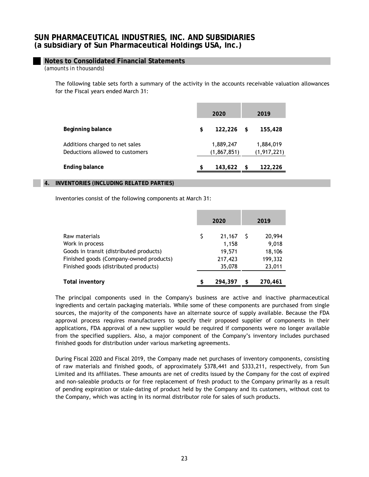# **Notes to Consolidated Financial Statements**

*(amounts in thousands)*

The following table sets forth a summary of the activity in the accounts receivable valuation allowances for the Fiscal years ended March 31:

|                                                                   | 2020 |                            |    | 2019                       |  |  |  |
|-------------------------------------------------------------------|------|----------------------------|----|----------------------------|--|--|--|
| Beginning balance                                                 | \$   | 122,226                    | \$ | 155,428                    |  |  |  |
| Additions charged to net sales<br>Deductions allowed to customers |      | 1,889,247<br>(1, 867, 851) |    | 1,884,019<br>(1, 917, 221) |  |  |  |
| <b>Ending balance</b>                                             | \$   | 143,622                    | S. | 122,226                    |  |  |  |

#### **4. INVENTORIES (INCLUDING RELATED PARTIES)**

Inventories consist of the following components at March 31:

|                                         | 2020 |         |   | 2019    |
|-----------------------------------------|------|---------|---|---------|
| Raw materials                           | \$   | 21,167  |   | 20,994  |
| Work in process                         |      | 1,158   |   | 9,018   |
| Goods in transit (distributed products) |      | 19,571  |   | 18,106  |
| Finished goods (Company-owned products) |      | 217,423 |   | 199,332 |
| Finished goods (distributed products)   |      | 35,078  |   | 23,011  |
| <b>Total inventory</b>                  | \$   | 294.397 | R | 270,461 |

The principal components used in the Company's business are active and inactive pharmaceutical ingredients and certain packaging materials. While some of these components are purchased from single sources, the majority of the components have an alternate source of supply available. Because the FDA approval process requires manufacturers to specify their proposed supplier of components in their applications, FDA approval of a new supplier would be required if components were no longer available from the specified suppliers. Also, a major component of the Company's inventory includes purchased finished goods for distribution under various marketing agreements.

During Fiscal 2020 and Fiscal 2019, the Company made net purchases of inventory components, consisting of raw materials and finished goods, of approximately \$378,441 and \$333,211, respectively, from Sun Limited and its affiliates. These amounts are net of credits issued by the Company for the cost of expired and non-saleable products or for free replacement of fresh product to the Company primarily as a result of pending expiration or stale-dating of product held by the Company and its customers, without cost to the Company, which was acting in its normal distributor role for sales of such products.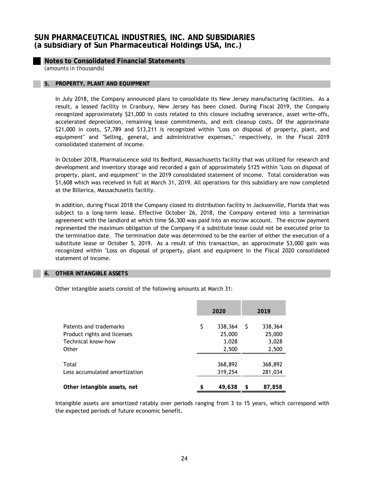# **Notes to Consolidated Financial Statements**

*(amounts in thousands)*

### **5. PROPERTY, PLANT AND EQUIPMENT**

In July 2018, the Company announced plans to consolidate its New Jersey manufacturing facilities. As a result, a leased facility in Cranbury, New Jersey has been closed. During Fiscal 2019, the Company recognized approximately \$21,000 in costs related to this closure including severance, asset write-offs, accelerated depreciation, remaining lease commitments, and exit cleanup costs. Of the approximate \$21,000 in costs, \$7,789 and \$13,211 is recognized within "Loss on disposal of property, plant, and equipment" and "Selling, general, and administrative expenses," respectively, in the Fiscal 2019 consolidated statement of income.

In October 2018, Pharmalucence sold its Bedford, Massachusetts facility that was utilized for research and development and inventory storage and recorded a gain of approximately \$125 within "Loss on disposal of property, plant, and equipment" in the 2019 consolidated statement of income. Total consideration was \$1,608 which was received in full at March 31, 2019. All operations for this subsidiary are now completed at the Billerica, Massachusetts facility.

In addition, during Fiscal 2018 the Company closed its distribution facility in Jacksonville, Florida that was subject to a long-term lease. Effective October 26, 2018, the Company entered into a termination agreement with the landlord at which time \$6,300 was paid into an escrow account. The escrow payment represented the maximum obligation of the Company if a substitute lease could not be executed prior to the termination date. The termination date was determined to be the earlier of either the execution of a substitute lease or October 5, 2019. As a result of this transaction, an approximate \$3,000 gain was recognized within "Loss on disposal of property, plant and equipment in the Fiscal 2020 consolidated statement of income.

#### **6. OTHER INTANGIBLE ASSETS**

Other intangible assets consist of the following amounts at March 31:

|                                                                                      | 2020                                      | 2019 |                                     |  |
|--------------------------------------------------------------------------------------|-------------------------------------------|------|-------------------------------------|--|
| Patents and trademarks<br>Product rights and licenses<br>Technical know-how<br>Other | \$<br>338,364<br>25,000<br>3,028<br>2,500 | S    | 338,364<br>25,000<br>3,028<br>2,500 |  |
| Total<br>Less accumulated amortization                                               | 368,892<br>319,254                        |      | 368,892<br>281,034                  |  |
| Other intangible assets, net                                                         | \$<br>49,638                              | \$   | 87,858                              |  |

Intangible assets are amortized ratably over periods ranging from 3 to 15 years, which correspond with the expected periods of future economic benefit.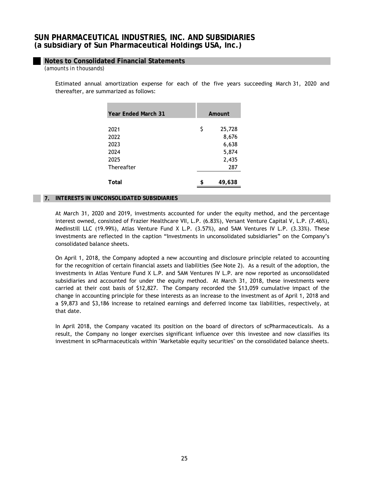# **Notes to Consolidated Financial Statements**

*(amounts in thousands)*

Estimated annual amortization expense for each of the five years succeeding March 31, 2020 and thereafter, are summarized as follows:

| <b>Year Ended March 31</b> | Amount |        |  |  |
|----------------------------|--------|--------|--|--|
| 2021                       | \$     | 25,728 |  |  |
| 2022                       |        | 8,676  |  |  |
| 2023                       |        | 6,638  |  |  |
| 2024                       |        | 5,874  |  |  |
| 2025                       |        | 2,435  |  |  |
| Thereafter                 |        | 287    |  |  |
| Total                      |        | 49,638 |  |  |
|                            |        |        |  |  |

## **7. INTERESTS IN UNCONSOLIDATED SUBSIDIARIES**

At March 31, 2020 and 2019, investments accounted for under the equity method, and the percentage interest owned, consisted of Frazier Healthcare VII, L.P. (6.83%), Versant Venture Capital V, L.P. (7.46%), Medinstill LLC (19.99%), Atlas Venture Fund X L.P. (3.57%), and 5AM Ventures IV L.P. (3.33%). These investments are reflected in the caption "Investments in unconsolidated subsidiaries" on the Company's consolidated balance sheets.

On April 1, 2018, the Company adopted a new accounting and disclosure principle related to accounting for the recognition of certain financial assets and liabilities (See Note 2). As a result of the adoption, the investments in Atlas Venture Fund X L.P. and 5AM Ventures IV L.P. are now reported as unconsolidated subsidiaries and accounted for under the equity method. At March 31, 2018, these investments were carried at their cost basis of \$12,827. The Company recorded the \$13,059 cumulative impact of the change in accounting principle for these interests as an increase to the investment as of April 1, 2018 and a \$9,873 and \$3,186 increase to retained earnings and deferred income tax liabilities, respectively, at that date.

In April 2018, the Company vacated its position on the board of directors of scPharmaceuticals. As a result, the Company no longer exercises significant influence over this investee and now classifies its investment in scPharmaceuticals within "Marketable equity securities" on the consolidated balance sheets.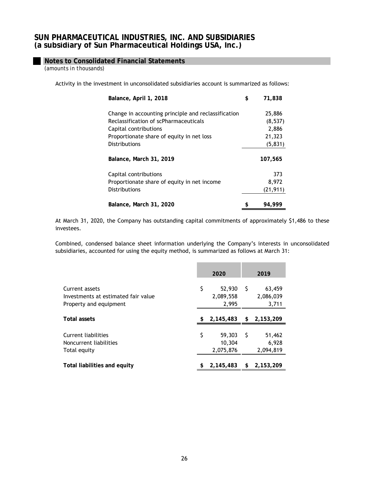# **Notes to Consolidated Financial Statements**

*(amounts in thousands)*

Activity in the investment in unconsolidated subsidiaries account is summarized as follows:

| Balance, April 1, 2018                              | \$<br>71,838 |
|-----------------------------------------------------|--------------|
| Change in accounting principle and reclassification | 25,886       |
| Reclassification of scPharmaceuticals               | (8,537)      |
| Capital contributions                               | 2,886        |
| Proportionate share of equity in net loss           | 21,323       |
| <b>Distributions</b>                                | (5, 831)     |
| Balance, March 31, 2019                             | 107,565      |
| Capital contributions                               | 373          |
| Proportionate share of equity in net income         | 8,972        |
| <b>Distributions</b>                                | (21, 911)    |
| Balance, March 31, 2020                             | 94.999       |

At March 31, 2020, the Company has outstanding capital commitments of approximately \$1,486 to these investees.

Combined, condensed balance sheet information underlying the Company's interests in unconsolidated subsidiaries, accounted for using the equity method, is summarized as follows at March 31:

|                                                                                 | 2020 |                               |     | 2019                         |
|---------------------------------------------------------------------------------|------|-------------------------------|-----|------------------------------|
| Current assets<br>Investments at estimated fair value<br>Property and equipment | \$   | 52,930<br>2,089,558<br>2,995  | -S  | 63,459<br>2,086,039<br>3,711 |
| <b>Total assets</b>                                                             | S.   | 2,145,483                     |     | \$2,153,209                  |
| Current liabilities<br>Noncurrent liabilities<br>Total equity                   | \$   | 59,303<br>10,304<br>2,075,876 | - S | 51,462<br>6,928<br>2,094,819 |
| Total liabilities and equity                                                    |      | 2,145,483                     | \$  | 2,153,209                    |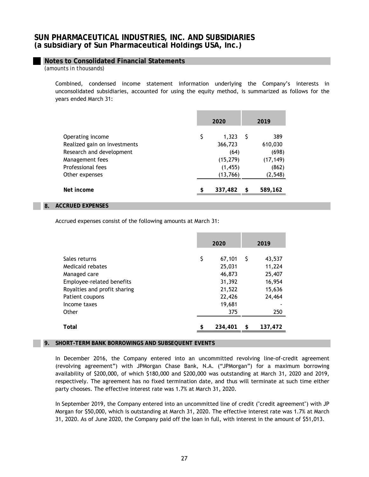# **Notes to Consolidated Financial Statements**

*(amounts in thousands)*

Combined, condensed income statement information underlying the Company's interests in unconsolidated subsidiaries, accounted for using the equity method, is summarized as follows for the years ended March 31:

|                                                                                                                                        | 2020                                                                | 2019 |                                                           |  |
|----------------------------------------------------------------------------------------------------------------------------------------|---------------------------------------------------------------------|------|-----------------------------------------------------------|--|
| Operating income<br>Realized gain on investments<br>Research and development<br>Management fees<br>Professional fees<br>Other expenses | \$<br>1,323<br>366,723<br>(64)<br>(15, 279)<br>(1, 455)<br>(13,766) | S    | 389<br>610,030<br>(698)<br>(17, 149)<br>(862)<br>(2, 548) |  |
| Net income                                                                                                                             | \$<br>337,482                                                       | \$   | 589,162                                                   |  |

## **8. ACCRUED EXPENSES**

Accrued expenses consist of the following amounts at March 31:

|                                                   | 2020 |                            |    | 2019                       |
|---------------------------------------------------|------|----------------------------|----|----------------------------|
| Sales returns<br>Medicaid rebates<br>Managed care | \$   | 67,101<br>25,031<br>46,873 | S  | 43,537<br>11,224<br>25,407 |
| Employee-related benefits                         |      | 31,392                     |    | 16,954                     |
| Royalties and profit sharing                      |      | 21,522                     |    | 15,636                     |
| Patient coupons                                   |      | 22,426                     |    | 24,464                     |
| Income taxes                                      |      | 19,681                     |    |                            |
| Other                                             |      | 375                        |    | 250                        |
| Total                                             | \$   | 234,401                    | \$ | 137,472                    |

## **9. SHORT-TERM BANK BORROWINGS AND SUBSEQUENT EVENTS**

In December 2016, the Company entered into an uncommitted revolving line-of-credit agreement (revolving agreement") with JPMorgan Chase Bank, N.A. ("JPMorgan") for a maximum borrowing availability of \$200,000, of which \$180,000 and \$200,000 was outstanding at March 31, 2020 and 2019, respectively. The agreement has no fixed termination date, and thus will terminate at such time either party chooses. The effective interest rate was 1.7% at March 31, 2020.

In September 2019, the Company entered into an uncommitted line of credit ("credit agreement") with JP Morgan for \$50,000, which is outstanding at March 31, 2020. The effective interest rate was 1.7% at March 31, 2020. As of June 2020, the Company paid off the loan in full, with interest in the amount of \$51,013.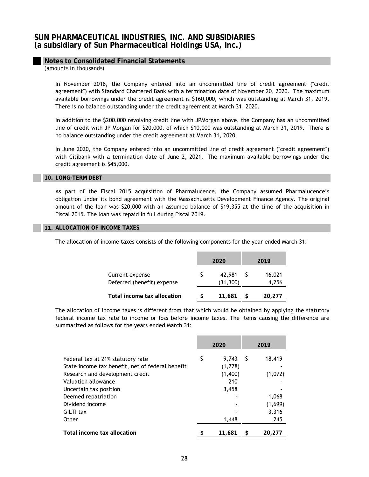## **Notes to Consolidated Financial Statements**

*(amounts in thousands)*

In November 2018, the Company entered into an uncommitted line of credit agreement ("credit agreement") with Standard Chartered Bank with a termination date of November 20, 2020. The maximum available borrowings under the credit agreement is \$160,000, which was outstanding at March 31, 2019. There is no balance outstanding under the credit agreement at March 31, 2020.

In addition to the \$200,000 revolving credit line with JPMorgan above, the Company has an uncommitted line of credit with JP Morgan for \$20,000, of which \$10,000 was outstanding at March 31, 2019. There is no balance outstanding under the credit agreement at March 31, 2020.

In June 2020, the Company entered into an uncommitted line of credit agreement ("credit agreement") with Citibank with a termination date of June 2, 2021. The maximum available borrowings under the credit agreement is \$45,000.

#### **10. LONG-TERM DEBT**

As part of the Fiscal 2015 acquisition of Pharmalucence, the Company assumed Pharmalucence's obligation under its bond agreement with the Massachusetts Development Finance Agency. The original amount of the loan was \$20,000 with an assumed balance of \$19,355 at the time of the acquisition in Fiscal 2015. The loan was repaid in full during Fiscal 2019.

#### **11. ALLOCATION OF INCOME TAXES**

The allocation of income taxes consists of the following components for the year ended March 31:

|                                               | 2020                | 2019            |
|-----------------------------------------------|---------------------|-----------------|
| Current expense<br>Deferred (benefit) expense | 42,981<br>(31, 300) | 16,021<br>4,256 |
| Total income tax allocation                   | 11,681              | 20,277          |

The allocation of income taxes is different from that which would be obtained by applying the statutory federal income tax rate to income or loss before income taxes. The items causing the difference are summarized as follows for the years ended March 31:

|                                                                                                                          | 2020 |                             | 2019 |                   |
|--------------------------------------------------------------------------------------------------------------------------|------|-----------------------------|------|-------------------|
| Federal tax at 21% statutory rate<br>State income tax benefit, net of federal benefit<br>Research and development credit | \$   | 9.743<br>(1,778)<br>(1,400) | S    | 18,419<br>(1,072) |
| Valuation allowance<br>Uncertain tax position                                                                            |      | 210<br>3,458                |      |                   |
| Deemed repatriation<br>Dividend income                                                                                   |      |                             |      | 1.068<br>(1,699)  |
| <b>GILTI tax</b><br>Other                                                                                                |      | 1,448                       |      | 3,316<br>245      |
| Total income tax allocation                                                                                              |      | 11,681                      | \$   | 20,277            |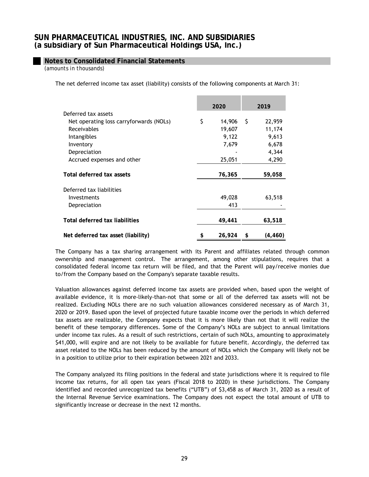## **Notes to Consolidated Financial Statements**

*(amounts in thousands)*

The net deferred income tax asset (liability) consists of the following components at March 31:

|                                         | 2020 |        |    | 2019     |
|-----------------------------------------|------|--------|----|----------|
| Deferred tax assets                     |      |        |    |          |
| Net operating loss carryforwards (NOLs) | \$   | 14,906 | S. | 22,959   |
| Receivables                             |      | 19,607 |    | 11,174   |
| Intangibles                             |      | 9,122  |    | 9,613    |
| Inventory                               |      | 7,679  |    | 6,678    |
| Depreciation                            |      |        |    | 4,344    |
| Accrued expenses and other              |      | 25,051 |    | 4,290    |
|                                         |      |        |    |          |
| Total deferred tax assets               |      | 76,365 |    | 59,058   |
| Deferred tax liabilities                |      |        |    |          |
| Investments                             |      | 49,028 |    | 63,518   |
| Depreciation                            |      | 413    |    |          |
|                                         |      |        |    |          |
| Total deferred tax liabilities          |      | 49,441 |    | 63,518   |
| Net deferred tax asset (liability)      | \$   | 26,924 | \$ | (4, 460) |

The Company has a tax sharing arrangement with its Parent and affiliates related through common ownership and management control. The arrangement, among other stipulations, requires that a consolidated federal income tax return will be filed, and that the Parent will pay/receive monies due to/from the Company based on the Company's separate taxable results.

Valuation allowances against deferred income tax assets are provided when, based upon the weight of available evidence, it is more-likely-than-not that some or all of the deferred tax assets will not be realized. Excluding NOLs there are no such valuation allowances considered necessary as of March 31, 2020 or 2019. Based upon the level of projected future taxable income over the periods in which deferred tax assets are realizable, the Company expects that it is more likely than not that it will realize the benefit of these temporary differences. Some of the Company's NOLs are subject to annual limitations under income tax rules. As a result of such restrictions, certain of such NOLs, amounting to approximately \$41,000, will expire and are not likely to be available for future benefit. Accordingly, the deferred tax asset related to the NOLs has been reduced by the amount of NOLs which the Company will likely not be in a position to utilize prior to their expiration between 2021 and 2033.

The Company analyzed its filing positions in the federal and state jurisdictions where it is required to file income tax returns, for all open tax years (Fiscal 2018 to 2020) in these jurisdictions. The Company identified and recorded unrecognized tax benefits ("UTB") of \$3,458 as of March 31, 2020 as a result of the Internal Revenue Service examinations. The Company does not expect the total amount of UTB to significantly increase or decrease in the next 12 months.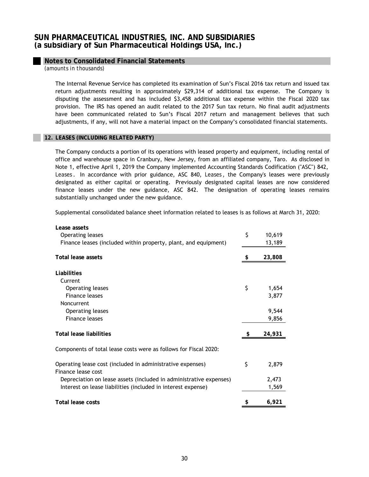## **Notes to Consolidated Financial Statements**

*(amounts in thousands)*

The Internal Revenue Service has completed its examination of Sun's Fiscal 2016 tax return and issued tax return adjustments resulting in approximately \$29,314 of additional tax expense. The Company is disputing the assessment and has included \$3,458 additional tax expense within the Fiscal 2020 tax provision. The IRS has opened an audit related to the 2017 Sun tax return. No final audit adjustments have been communicated related to Sun's Fiscal 2017 return and management believes that such adjustments, if any, will not have a material impact on the Company's consolidated financial statements.

#### **12. LEASES (INCLUDING RELATED PARTY)**

The Company conducts a portion of its operations with leased property and equipment, including rental of office and warehouse space in Cranbury, New Jersey, from an affiliated company, Taro. As disclosed in Note 1, effective April 1, 2019 the Company implemented Accounting Standards Codification ("ASC") 842, *Leases* . In accordance with prior guidance, ASC 840, *Leases* , the Company's leases were previously designated as either capital or operating. Previously designated capital leases are now considered finance leases under the new guidance, ASC 842. The designation of operating leases remains substantially unchanged under the new guidance.

Supplemental consolidated balance sheet information related to leases is as follows at March 31, 2020:

| \$<br>10,619 |
|--------------|
| 13,189       |
| 23,808       |
|              |
|              |
| \$<br>1,654  |
| 3,877        |
|              |
| 9,544        |
| 9,856        |
| 24,931       |
|              |
| \$<br>2,879  |
| 2,473        |
| 1,569        |
| \$<br>6,921  |
|              |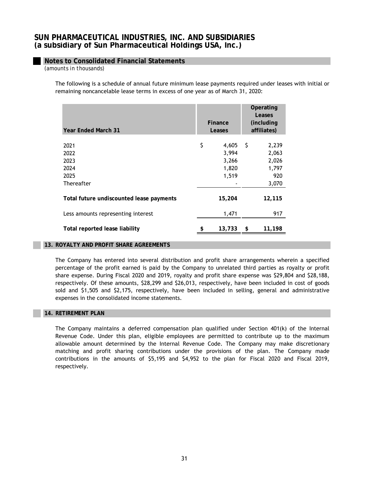# **Notes to Consolidated Financial Statements**

*(amounts in thousands)*

The following is a schedule of annual future minimum lease payments required under leases with initial or remaining noncancelable lease terms in excess of one year as of March 31, 2020:

| <b>Year Ended March 31</b>                         | Finance<br>Leases                               | Operating<br>Leases<br>(including<br>affiliates) |                                                  |  |
|----------------------------------------------------|-------------------------------------------------|--------------------------------------------------|--------------------------------------------------|--|
| 2021<br>2022<br>2023<br>2024<br>2025<br>Thereafter | \$<br>4,605<br>3,994<br>3,266<br>1,820<br>1,519 | - \$                                             | 2,239<br>2,063<br>2,026<br>1,797<br>920<br>3,070 |  |
| Total future undiscounted lease payments           | 15,204                                          |                                                  | 12,115                                           |  |
| Less amounts representing interest                 | 1,471                                           |                                                  | 917                                              |  |
| Total reported lease liability                     | 13,733                                          | \$                                               | 11,198                                           |  |

## **13. ROYALTY AND PROFIT SHARE AGREEMENTS**

The Company has entered into several distribution and profit share arrangements wherein a specified percentage of the profit earned is paid by the Company to unrelated third parties as royalty or profit share expense. During Fiscal 2020 and 2019, royalty and profit share expense was \$29,804 and \$28,188, respectively. Of these amounts, \$28,299 and \$26,013, respectively, have been included in cost of goods sold and \$1,505 and \$2,175, respectively, have been included in selling, general and administrative expenses in the consolidated income statements.

#### **14. RETIREMENT PLAN**

The Company maintains a deferred compensation plan qualified under Section 401(k) of the Internal Revenue Code. Under this plan, eligible employees are permitted to contribute up to the maximum allowable amount determined by the Internal Revenue Code. The Company may make discretionary matching and profit sharing contributions under the provisions of the plan. The Company made contributions in the amounts of \$5,195 and \$4,952 to the plan for Fiscal 2020 and Fiscal 2019, respectively.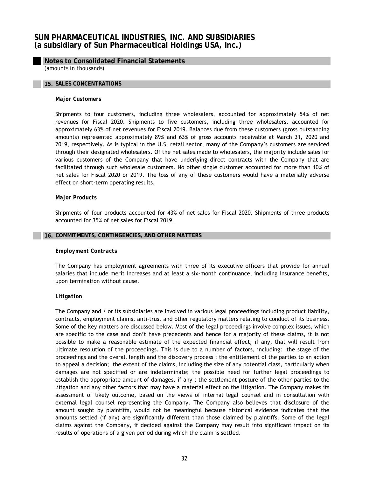## **Notes to Consolidated Financial Statements**

*(amounts in thousands)*

#### **15. SALES CONCENTRATIONS**

#### *Major Customers*

Shipments to four customers, including three wholesalers, accounted for approximately 54% of net revenues for Fiscal 2020. Shipments to five customers, including three wholesalers, accounted for approximately 63% of net revenues for Fiscal 2019. Balances due from these customers (gross outstanding amounts) represented approximately 89% and 63% of gross accounts receivable at March 31, 2020 and 2019, respectively. As is typical in the U.S. retail sector, many of the Company's customers are serviced through their designated wholesalers. Of the net sales made to wholesalers, the majority include sales for various customers of the Company that have underlying direct contracts with the Company that are facilitated through such wholesale customers. No other single customer accounted for more than 10% of net sales for Fiscal 2020 or 2019. The loss of any of these customers would have a materially adverse effect on short-term operating results.

#### *Major Products*

Shipments of four products accounted for 43% of net sales for Fiscal 2020. Shipments of three products accounted for 35% of net sales for Fiscal 2019.

#### **16. COMMITMENTS, CONTINGENCIES, AND OTHER MATTERS**

#### *Employment Contracts*

The Company has employment agreements with three of its executive officers that provide for annual salaries that include merit increases and at least a six-month continuance, including insurance benefits, upon termination without cause.

#### *Litigation*

The Company and / or its subsidiaries are involved in various legal proceedings including product liability, contracts, employment claims, anti-trust and other regulatory matters relating to conduct of its business. Some of the key matters are discussed below. Most of the legal proceedings involve complex issues, which are specific to the case and don't have precedents and hence for a majority of these claims, it is not possible to make a reasonable estimate of the expected financial effect, if any, that will result from ultimate resolution of the proceedings. This is due to a number of factors, including: the stage of the proceedings and the overall length and the discovery process ; the entitlement of the parties to an action to appeal a decision; the extent of the claims, including the size of any potential class, particularly when damages are not specified or are indeterminate; the possible need for further legal proceedings to establish the appropriate amount of damages, if any ; the settlement posture of the other parties to the litigation and any other factors that may have a material effect on the litigation. The Company makes its assessment of likely outcome, based on the views of internal legal counsel and in consultation with external legal counsel representing the Company. The Company also believes that disclosure of the amount sought by plaintiffs, would not be meaningful because historical evidence indicates that the amounts settled (if any) are significantly different than those claimed by plaintiffs. Some of the legal claims against the Company, if decided against the Company may result into significant impact on its results of operations of a given period during which the claim is settled.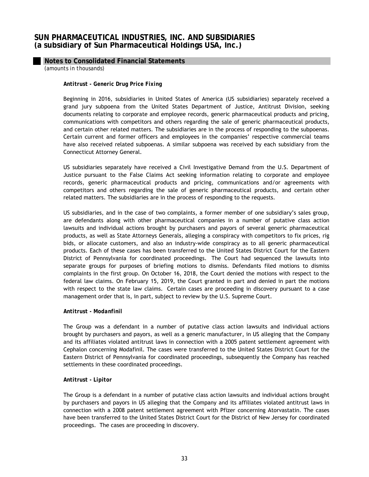# **Notes to Consolidated Financial Statements**

*(amounts in thousands)*

### *Antitrust - Generic Drug Price Fixing*

Beginning in 2016, subsidiaries in United States of America (US subsidiaries) separately received a grand jury subpoena from the United States Department of Justice, Antitrust Division, seeking documents relating to corporate and employee records, generic pharmaceutical products and pricing, communications with competitors and others regarding the sale of generic pharmaceutical products, and certain other related matters. The subsidiaries are in the process of responding to the subpoenas. Certain current and former officers and employees in the companies' respective commercial teams have also received related subpoenas. A similar subpoena was received by each subsidiary from the Connecticut Attorney General.

US subsidiaries separately have received a Civil Investigative Demand from the U.S. Department of Justice pursuant to the False Claims Act seeking information relating to corporate and employee records, generic pharmaceutical products and pricing, communications and/or agreements with competitors and others regarding the sale of generic pharmaceutical products, and certain other related matters. The subsidiaries are in the process of responding to the requests.

US subsidiaries, and in the case of two complaints, a former member of one subsidiary's sales group, are defendants along with other pharmaceutical companies in a number of putative class action lawsuits and individual actions brought by purchasers and payors of several generic pharmaceutical products, as well as State Attorneys Generals, alleging a conspiracy with competitors to fix prices, rig bids, or allocate customers, and also an industry-wide conspiracy as to all generic pharmaceutical products. Each of these cases has been transferred to the United States District Court for the Eastern District of Pennsylvania for coordinated proceedings. The Court had sequenced the lawsuits into separate groups for purposes of briefing motions to dismiss. Defendants filed motions to dismiss complaints in the first group. On October 16, 2018, the Court denied the motions with respect to the federal law claims. On February 15, 2019, the Court granted in part and denied in part the motions with respect to the state law claims. Certain cases are proceeding in discovery pursuant to a case management order that is, in part, subject to review by the U.S. Supreme Court.

## *Antitrust - Modanfinil*

The Group was a defendant in a number of putative class action lawsuits and individual actions brought by purchasers and payors, as well as a generic manufacturer, in US alleging that the Company and its affiliates violated antitrust laws in connection with a 2005 patent settlement agreement with Cephalon concerning Modafinil. The cases were transferred to the United States District Court for the Eastern District of Pennsylvania for coordinated proceedings, subsequently the Company has reached settlements in these coordinated proceedings.

## *Antitrust - Lipitor*

The Group is a defendant in a number of putative class action lawsuits and individual actions brought by purchasers and payors in US alleging that the Company and its affiliates violated antitrust laws in connection with a 2008 patent settlement agreement with Pfizer concerning Atorvastatin. The cases have been transferred to the United States District Court for the District of New Jersey for coordinated proceedings. The cases are proceeding in discovery.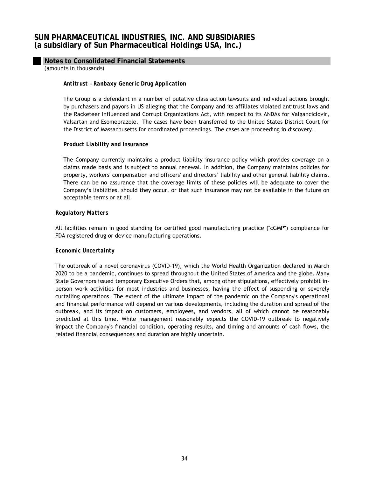## **Notes to Consolidated Financial Statements**

*(amounts in thousands)*

## *Antitrust – Ranbaxy Generic Drug Application*

The Group is a defendant in a number of putative class action lawsuits and individual actions brought by purchasers and payors in US alleging that the Company and its affiliates violated antitrust laws and the Racketeer Influenced and Corrupt Organizations Act, with respect to its ANDAs for Valganciclovir, Valsartan and Esomeprazole. The cases have been transferred to the United States District Court for the District of Massachusetts for coordinated proceedings. The cases are proceeding in discovery.

## *Product Liability and Insurance*

The Company currently maintains a product liability insurance policy which provides coverage on a claims made basis and is subject to annual renewal. In addition, the Company maintains policies for property, workers' compensation and officers' and directors' liability and other general liability claims. There can be no assurance that the coverage limits of these policies will be adequate to cover the Company's liabilities, should they occur, or that such insurance may not be available in the future on acceptable terms or at all.

#### *Regulatory Matters*

All facilities remain in good standing for certified good manufacturing practice ("cGMP") compliance for FDA registered drug or device manufacturing operations.

#### *Economic Uncertainty*

The outbreak of a novel coronavirus (COVID-19), which the World Health Organization declared in March 2020 to be a pandemic, continues to spread throughout the United States of America and the globe. Many State Governors issued temporary Executive Orders that, among other stipulations, effectively prohibit inperson work activities for most industries and businesses, having the effect of suspending or severely curtailing operations. The extent of the ultimate impact of the pandemic on the Company's operational and financial performance will depend on various developments, including the duration and spread of the outbreak, and its impact on customers, employees, and vendors, all of which cannot be reasonably predicted at this time. While management reasonably expects the COVID-19 outbreak to negatively impact the Company's financial condition, operating results, and timing and amounts of cash flows, the related financial consequences and duration are highly uncertain.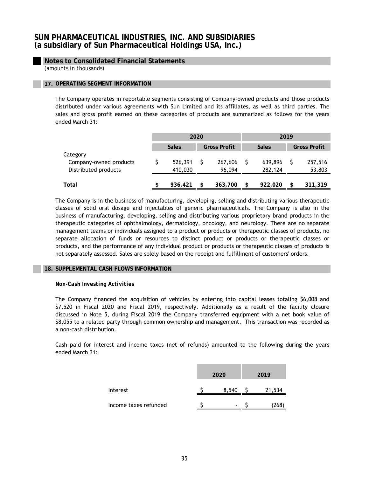# **Notes to Consolidated Financial Statements**

*(amounts in thousands)*

## **17. OPERATING SEGMENT INFORMATION**

The Company operates in reportable segments consisting of Company-owned products and those products distributed under various agreements with Sun Limited and its affiliates, as well as third parties. The sales and gross profit earned on these categories of products are summarized as follows for the years ended March 31:

|                        |               | 2020 |                     |              | 2019 |                     |  |  |
|------------------------|---------------|------|---------------------|--------------|------|---------------------|--|--|
|                        | <b>Sales</b>  |      | <b>Gross Profit</b> | <b>Sales</b> |      | <b>Gross Profit</b> |  |  |
| Category               |               |      |                     |              |      |                     |  |  |
| Company-owned products | 526,391       |      | 267,606             | 639,896      |      | 257,516             |  |  |
| Distributed products   | 410,030       |      | 96,094              | 282,124      |      | 53,803              |  |  |
|                        |               |      |                     |              |      |                     |  |  |
| Total                  | \$<br>936,421 |      | 363,700             | 922,020      | \$   | 311,319             |  |  |

The Company is in the business of manufacturing, developing, selling and distributing various therapeutic classes of solid oral dosage and injectables of generic pharmaceuticals. The Company is also in the business of manufacturing, developing, selling and distributing various proprietary brand products in the therapeutic categories of ophthalmology, dermatology, oncology, and neurology. There are no separate management teams or individuals assigned to a product or products or therapeutic classes of products, no separate allocation of funds or resources to distinct product or products or therapeutic classes or products, and the performance of any individual product or products or therapeutic classes of products is not separately assessed. Sales are solely based on the receipt and fulfillment of customers' orders.

#### **18. SUPPLEMENTAL CASH FLOWS INFORMATION**

## *Non-Cash Investing Activities*

The Company financed the acquisition of vehicles by entering into capital leases totaling \$6,008 and \$7,520 in Fiscal 2020 and Fiscal 2019, respectively. Additionally as a result of the facility closure discussed in Note 5, during Fiscal 2019 the Company transferred equipment with a net book value of \$8,055 to a related party through common ownership and management. This transaction was recorded as a non-cash distribution.

Cash paid for interest and income taxes (net of refunds) amounted to the following during the years ended March 31:

|                       | 2020  | 2019          |
|-----------------------|-------|---------------|
| Interest              | 8,540 | 21,534        |
| Income taxes refunded | ۰     | $268^{\circ}$ |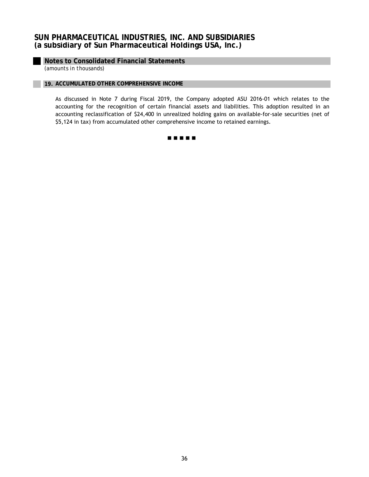# **Notes to Consolidated Financial Statements**

*(amounts in thousands)*

## **19. ACCUMULATED OTHER COMPREHENSIVE INCOME**

As discussed in Note 7 during Fiscal 2019, the Company adopted ASU 2016-01 which relates to the accounting for the recognition of certain financial assets and liabilities. This adoption resulted in an accounting reclassification of \$24,400 in unrealized holding gains on available-for-sale securities (net of \$5,124 in tax) from accumulated other comprehensive income to retained earnings.

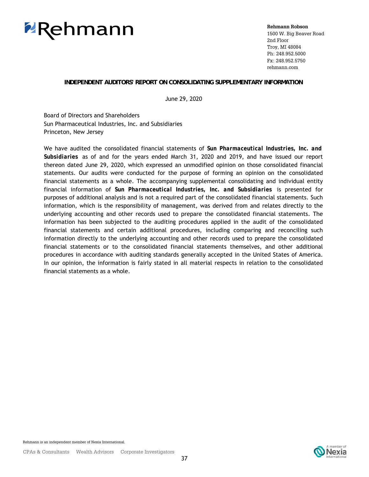

**Rehmann Robson** 1500 W. Big Beaver Road 2nd Floor Troy, MI 48084 Ph: 248.952.5000 Fx: 248.952.5750 rehmann.com

# **INDEPENDENT AUDITORS' REPORT ON CONSOLIDATING SUPPLEMENTARY INFORMATION**

June 29, 2020

 Princeton, New Jersey Board of Directors and Shareholders Sun Pharmaceutical Industries, Inc. and Subsidiaries

We have audited the consolidated financial statements of *Sun Pharmaceutical Industries, Inc. and Subsidiaries* as of and for the years ended March 31, 2020 and 2019, and have issued our report thereon dated June 29, 2020, which expressed an unmodified opinion on those consolidated financial statements. Our audits were conducted for the purpose of forming an opinion on the consolidated financial statements as a whole. The accompanying supplemental consolidating and individual entity financial information of *Sun Pharmaceutical Industries, Inc. and Subsidiaries* is presented for purposes of additional analysis and is not a required part of the consolidated financial statements. Such information, which is the responsibility of management, was derived from and relates directly to the underlying accounting and other records used to prepare the consolidated financial statements. The information has been subjected to the auditing procedures applied in the audit of the consolidated financial statements and certain additional procedures, including comparing and reconciling such information directly to the underlying accounting and other records used to prepare the consolidated financial statements or to the consolidated financial statements themselves, and other additional procedures in accordance with auditing standards generally accepted in the United States of America. In our opinion, the information is fairly stated in all material respects in relation to the consolidated financial statements as a whole.

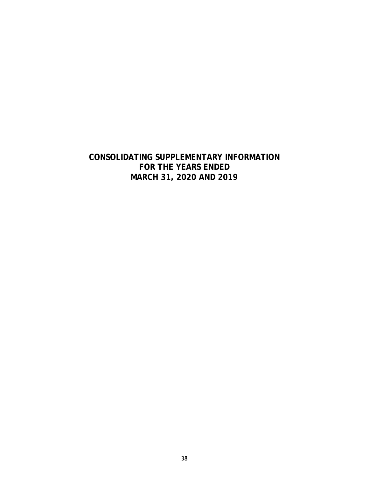# **CONSOLIDATING SUPPLEMENTARY INFORMATION FOR THE YEARS ENDED MARCH 31, 2020 AND 2019**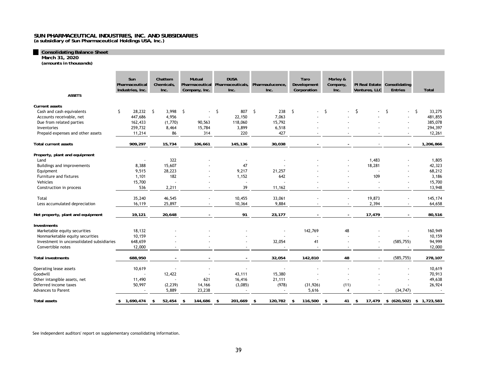**Consolidating Balance Sheet March 31, 2020**

*(amounts in thousands)*

|                                           | <b>Sun</b><br>Pharmaceutical<br>Industries, Inc. | Chattem<br>Chemicals,<br>Inc. | <b>Mutual</b><br>Company, Inc. | <b>DUSA</b><br>Pharmaceutical Pharmaceuticals, Pharmaulucence,<br>Inc. | Inc.           | Taro<br>Development<br>Corporation | Morley &<br>Company,<br>Inc. | Ventures, LLC            | PI Real Estate Consolidating<br><b>Entries</b> | <b>Total</b>                     |
|-------------------------------------------|--------------------------------------------------|-------------------------------|--------------------------------|------------------------------------------------------------------------|----------------|------------------------------------|------------------------------|--------------------------|------------------------------------------------|----------------------------------|
| <b>ASSETS</b>                             |                                                  |                               |                                |                                                                        |                |                                    |                              |                          |                                                |                                  |
| <b>Current assets</b>                     |                                                  |                               |                                |                                                                        |                |                                    |                              |                          |                                                |                                  |
| Cash and cash equivalents                 | Ŝ.<br>28,232                                     | -S<br>3,998                   | S.<br>$\sim$                   | 807<br>S.                                                              | S.<br>238      | S.<br>$\sim 10^{-11}$              | -S                           | Ŝ.<br>$\sim 100$         | Ŝ.<br>$\mathbf{r}$                             | S.<br>33,275                     |
| Accounts receivable, net                  | 447,686                                          | 4,956                         |                                | 22,150                                                                 | 7,063          |                                    |                              |                          |                                                | 481,855                          |
| Due from related parties                  | 162,433                                          | (1,770)                       | 90,563                         | 118,060                                                                | 15,792         |                                    |                              |                          |                                                | 385,078                          |
| Inventories                               | 259,732                                          | 8,464                         | 15,784                         | 3,899                                                                  | 6,518          |                                    |                              |                          |                                                | 294,397                          |
| Prepaid expenses and other assets         | 11,214                                           | 86                            | 314                            | 220                                                                    | 427            |                                    |                              |                          |                                                | 12,261                           |
| <b>Total current assets</b>               | 909,297                                          | 15,734                        | 106,661                        | 145,136                                                                | 30,038         |                                    |                              |                          | $\blacksquare$                                 | 1,206,866                        |
| Property, plant and equipment             |                                                  |                               |                                |                                                                        |                |                                    |                              |                          |                                                |                                  |
| Land                                      | $\blacksquare$                                   | 322                           |                                | $\overline{\phantom{a}}$                                               |                |                                    |                              | 1,483                    |                                                | 1,805                            |
| Buildings and improvements                | 8,388                                            | 15,607                        |                                | 47                                                                     |                |                                    |                              | 18,281                   |                                                | 42,323                           |
| Equipment                                 | 9,515                                            | 28,223                        |                                | 9,217                                                                  | 21,257         |                                    |                              |                          |                                                | 68,212                           |
| Furniture and fixtures                    | 1,101                                            | 182                           |                                | 1,152                                                                  | 642            |                                    |                              | 109                      |                                                | 3,186                            |
| Vehicles                                  | 15,700                                           |                               |                                |                                                                        |                |                                    |                              |                          | $\overline{\phantom{a}}$                       | 15,700                           |
| Construction in process                   | 536                                              | 2,211                         |                                | 39                                                                     | 11,162         |                                    |                              |                          | $\overline{\phantom{a}}$                       | 13,948                           |
| Total                                     | 35,240                                           | 46,545                        |                                | 10,455                                                                 | 33,061         |                                    |                              | 19,873                   | $\sim$                                         | 145,174                          |
| Less accumulated depreciation             | 16,119                                           | 25,897                        |                                | 10,364                                                                 | 9,884          |                                    |                              | 2,394                    | $\overline{\phantom{a}}$                       | 64,658                           |
|                                           |                                                  |                               |                                |                                                                        |                |                                    |                              |                          |                                                |                                  |
| Net property, plant and equipment         | 19,121                                           | 20,648                        |                                | 91                                                                     | 23,177         |                                    |                              | 17,479                   | $\overline{\phantom{a}}$                       | 80,516                           |
| <b>Investments</b>                        |                                                  |                               |                                |                                                                        |                |                                    |                              |                          |                                                |                                  |
| Marketable equity securities              | 18,132                                           |                               |                                |                                                                        |                | 142,769                            | 48                           |                          |                                                | 160,949                          |
| Nonmarketable equity securities           | 10,159                                           |                               |                                |                                                                        |                |                                    |                              |                          |                                                | 10,159                           |
| Investment in unconsolidated subsidiaries | 648,659                                          |                               |                                |                                                                        | 32,054         | 41                                 |                              |                          | (585, 755)                                     | 94,999                           |
| Convertible notes                         | 12,000                                           |                               |                                |                                                                        |                | $\overline{\phantom{a}}$           |                              | $\overline{\phantom{a}}$ | $\sim$                                         | 12,000                           |
| <b>Total investments</b>                  | 688,950                                          |                               |                                |                                                                        | 32,054         | 142,810                            | 48                           |                          | (585, 755)                                     | 278,107                          |
| Operating lease assets                    | 10,619                                           |                               |                                |                                                                        |                |                                    |                              |                          |                                                | 10,619                           |
| Goodwill                                  |                                                  | 12,422                        |                                | 43,111                                                                 | 15,380         |                                    |                              |                          |                                                | 70,913                           |
| Other intangible assets, net              | 11,490                                           | ÷,                            | 621                            | 16,416                                                                 | 21,111         |                                    |                              |                          |                                                | 49,638                           |
| Deferred income taxes                     | 50,997                                           | (2, 239)                      | 14,166                         | (3,085)                                                                | (978)          | (31, 926)                          | (11)                         |                          | $\blacksquare$                                 | 26,924                           |
| <b>Advances to Parent</b>                 |                                                  | 5,889                         | 23,238                         |                                                                        |                | 5,616                              | 4                            |                          | (34, 747)                                      |                                  |
| <b>Total assets</b>                       | \$1,690,474                                      | 52,454<br>-\$                 | \$<br>144,686                  | \$<br>201,669                                                          | 120,782<br>-\$ | \$<br>116,500                      | \$<br>41                     | \$                       |                                                | 17,479 \$ (620,502) \$ 1,723,583 |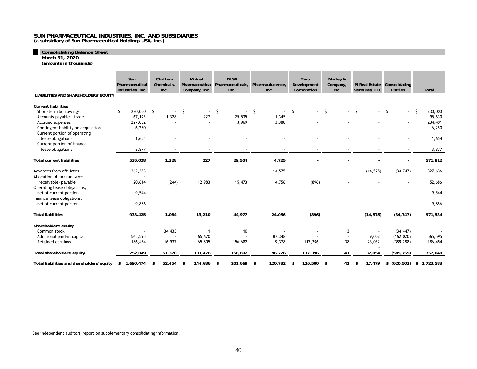**Consolidating Balance Sheet March 31, 2020**

*(amounts in thousands)*

|                                            | Sun<br>Pharmaceutical<br>Industries, Inc. | Chattem<br>Chemicals,<br>Inc. | <b>Mutual</b><br>Company, Inc. | <b>DUSA</b><br>Pharmaceutical Pharmaceuticals,<br>Inc. | Pharmaulucence,<br>Inc. | Taro<br>Development<br>Corporation | Morley &<br>Company,<br>Inc. | PI Real Estate Consolidating<br>Ventures, LLC | <b>Entries</b>                 | Total           |
|--------------------------------------------|-------------------------------------------|-------------------------------|--------------------------------|--------------------------------------------------------|-------------------------|------------------------------------|------------------------------|-----------------------------------------------|--------------------------------|-----------------|
| LIABILITIES AND SHAREHOLDERS' EQUITY       |                                           |                               |                                |                                                        |                         |                                    |                              |                                               |                                |                 |
| <b>Current liabilities</b>                 |                                           |                               |                                |                                                        |                         |                                    |                              |                                               |                                |                 |
| Short-term borrowings                      | 230,000 \$                                | $\overline{\phantom{a}}$      | \$<br>$\sim$                   | \$.<br>$\sim$                                          | -\$<br>$\sim$           | S.                                 | - S                          | -S                                            | \$<br>$\overline{\phantom{a}}$ | -S<br>230,000   |
| Accounts payable - trade                   | 67,195                                    | 1,328                         | 227                            | 25,535                                                 | 1,345                   |                                    |                              |                                               |                                | 95,630          |
| Accrued expenses                           | 227,052                                   |                               |                                | 3,969                                                  | 3,380                   |                                    |                              |                                               |                                | 234,401         |
| Contingent liability on acquisition        | 6,250                                     |                               |                                |                                                        |                         |                                    |                              |                                               |                                | 6,250           |
| Current portion of operating               |                                           |                               |                                |                                                        |                         |                                    |                              |                                               |                                |                 |
| lease obligations                          | 1,654                                     |                               |                                |                                                        |                         |                                    |                              |                                               |                                | 1,654           |
| Current portion of finance                 |                                           |                               |                                |                                                        |                         |                                    |                              |                                               |                                |                 |
| lease obligations                          | 3,877                                     | $\blacksquare$                |                                |                                                        | $\blacksquare$          |                                    |                              |                                               | $\overline{\phantom{a}}$       | 3,877           |
| <b>Total current liabilities</b>           | 536,028                                   | 1,328                         | 227                            | 29,504                                                 | 4,725                   |                                    |                              |                                               | $\overline{\phantom{a}}$       | 571,812         |
| Advances from affiliates                   | 362,383                                   | ٠                             |                                |                                                        | 14,575                  |                                    | $\overline{\phantom{a}}$     | (14, 575)                                     | (34, 747)                      | 327,636         |
| Allocation of income taxes                 |                                           |                               |                                |                                                        |                         |                                    |                              |                                               |                                |                 |
| (receivable) payable                       | 20,614                                    | (244)                         | 12,983                         | 15,473                                                 | 4,756                   | (896)                              |                              |                                               | $\blacksquare$                 | 52,686          |
| Operating lease obligations,               |                                           |                               |                                |                                                        |                         |                                    |                              |                                               |                                |                 |
| net of current portion                     | 9,544                                     |                               |                                |                                                        |                         |                                    |                              |                                               |                                | 9,544           |
| Finance lease obligations,                 |                                           |                               |                                |                                                        |                         |                                    |                              |                                               |                                |                 |
| net of current poriton                     | 9,856                                     |                               |                                |                                                        |                         |                                    |                              |                                               |                                | 9,856           |
| <b>Total liabilities</b>                   | 938,425                                   | 1,084                         | 13,210                         | 44,977                                                 | 24,056                  | (896)                              |                              | (14, 575)                                     | (34, 747)                      | 971,534         |
| Shareholders' equity                       |                                           |                               |                                |                                                        |                         |                                    |                              |                                               |                                |                 |
| Common stock                               |                                           | 34,433                        |                                | 10                                                     |                         |                                    | 3                            |                                               | (34, 447)                      |                 |
| Additional paid-in capital                 | 565,595                                   |                               | 65,670                         |                                                        | 87,348                  |                                    |                              | 9,002                                         | (162, 020)                     | 565,595         |
| Retained earnings                          | 186,454                                   | 16,937                        | 65,805                         | 156,682                                                | 9,378                   | 117,396                            | 38                           | 23,052                                        | (389, 288)                     | 186,454         |
|                                            |                                           |                               |                                |                                                        |                         |                                    |                              |                                               |                                |                 |
| Total shareholders' equity                 | 752,049                                   | 51,370                        | 131,476                        | 156,692                                                | 96,726                  | 117,396                            | 41                           | 32,054                                        | (585, 755)                     | 752,049         |
| Total liabilities and shareholders' equity | 1.690.474<br>\$                           | 52,454<br>\$                  | 144,686<br>\$                  | 201.669<br>- \$                                        | 120.782<br>-\$          | 116,500<br>\$                      | \$<br>41                     | 17.479<br>\$                                  | \$ (620, 502)                  | 1,723,583<br>\$ |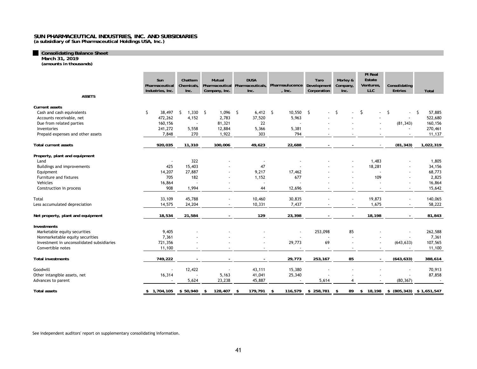**(a subsidiary of Sun Pharmaceutical Holdings USA, Inc.)**

**Consolidating Balance Sheet March 31, 2019**

*(amounts in thousands)*

|                                                                                                     | Sun<br>Pharmaceutical<br>Industries, Inc. | Chattem<br>Chemicals,<br>Inc.   | Mutual<br>Company, Inc.  | <b>DUSA</b><br>Pharmaceutical Pharmaceuticals,<br>Inc. | Pharmaulucence Development<br>, Inc. | Taro<br>Corporation | Morley &<br>Company,<br>Inc. | PI Real<br>Estate<br>Ventures,<br>LLC | Consolidating<br><b>Entries</b> | Total                                        |
|-----------------------------------------------------------------------------------------------------|-------------------------------------------|---------------------------------|--------------------------|--------------------------------------------------------|--------------------------------------|---------------------|------------------------------|---------------------------------------|---------------------------------|----------------------------------------------|
| <b>ASSETS</b>                                                                                       |                                           |                                 |                          |                                                        |                                      |                     |                              |                                       |                                 |                                              |
| Current assets<br>Cash and cash equivalents<br>Accounts receivable, net<br>Due from related parties | 38,497<br>\$<br>472,262<br>160,156        | $1,330$ \$<br>\$<br>4,152<br>÷, | 1,096<br>2,783<br>81,321 | $6,412$ \$<br>- \$<br>37,520<br>22                     | 10,550<br>5,963                      | \$                  | -S                           | \$<br>$\blacksquare$                  | -\$<br>(81, 343)                | S.<br>57,885<br>522,680<br>160,156           |
| Inventories<br>Prepaid expenses and other assets                                                    | 241,272<br>7,848                          | 5,558<br>270                    | 12,884<br>1,922          | 5,366<br>303                                           | 5,381<br>794                         |                     |                              |                                       |                                 | 270,461<br>11,137                            |
| <b>Total current assets</b>                                                                         | 920,035                                   | 11,310                          | 100,006                  | 49,623                                                 | 22,688                               |                     |                              |                                       | (81, 343)                       | 1,022,319                                    |
| Property, plant and equipment                                                                       |                                           |                                 |                          |                                                        |                                      |                     |                              |                                       |                                 |                                              |
| Land<br>Buildings and improvements<br>Equipment                                                     | $\blacksquare$<br>425<br>14,207           | 322<br>15,403<br>27,887         |                          | $\blacksquare$<br>47<br>9,217                          | 17,462                               |                     |                              | 1,483<br>18,281                       |                                 | 1,805<br>34,156<br>68,773                    |
| Furniture and fixtures<br>Vehicles                                                                  | 705<br>16,864                             | 182                             |                          | 1,152                                                  | 677                                  |                     |                              | 109                                   |                                 | 2,825<br>16,864                              |
| Construction in process                                                                             | 908                                       | 1,994                           |                          | 44                                                     | 12,696                               |                     |                              |                                       |                                 | 15,642                                       |
| Total<br>Less accumulated depreciation                                                              | 33,109<br>14,575                          | 45,788<br>24,204                |                          | 10,460<br>10,331                                       | 30,835<br>7,437                      |                     | $\sim$                       | 19,873<br>1,675                       |                                 | 140,065<br>58,222                            |
| Net property, plant and equipment                                                                   | 18,534                                    | 21,584                          |                          | 129                                                    | 23,398                               |                     | $\blacksquare$               | 18,198                                |                                 | 81,843                                       |
| <b>Investments</b><br>Marketable equity securities                                                  | 9,405                                     |                                 |                          |                                                        |                                      | 253,098             | 85                           |                                       |                                 | 262,588                                      |
| Nonmarketable equity securities<br>Investment in unconsolidated subsidiaries<br>Convertible notes   | 7,361<br>721,356<br>11,100                |                                 |                          |                                                        | 29,773                               | 69                  |                              |                                       | (643, 633)                      | 7,361<br>107,565<br>11,100                   |
| <b>Total investments</b>                                                                            | 749,222                                   |                                 |                          |                                                        | 29,773                               | 253,167             | 85                           |                                       | (643, 633)                      | 388,614                                      |
| Goodwill<br>Other intangible assets, net<br>Advances to parent                                      | 16,314                                    | 12,422<br>5,624                 | 5,163<br>23,238          | 43,111<br>41,041<br>45,887                             | 15,380<br>25,340<br>٠.               | 5,614               | $\overline{4}$               |                                       | (80, 367)                       | 70,913<br>87,858<br>$\overline{\phantom{a}}$ |
| <b>Total assets</b>                                                                                 | \$1,704,105                               | $$50,940$ \$                    | 128,407                  | 179,791<br>\$                                          | 116,579<br>-\$                       | \$258,781           | 89<br>-\$                    | \$18,198                              |                                 | \$ (805, 343) \$ 1,651,547                   |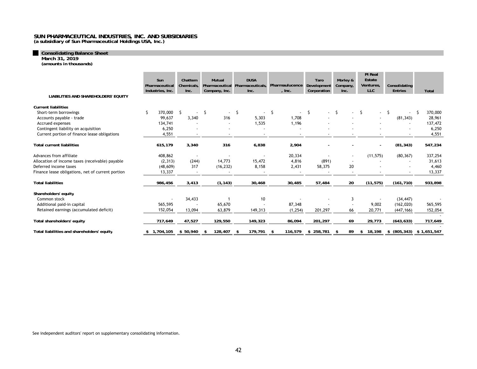**(a subsidiary of Sun Pharmaceutical Holdings USA, Inc.)**

# **Consolidating Balance Sheet March 31, 2019**

*(amounts in thousands)*

|                                                   | Sun<br>Pharmaceutical<br>Industries, Inc. | Chattem<br><b>Chemicals</b><br>Inc. | Mutual<br>Pharmaceutical<br>Company, Inc. | <b>DUSA</b><br>Pharmaceuticals.<br>Inc. | Pharmaulucence<br>, $Inc.$ | Taro<br>Development<br>Corporation | Morley &<br>Company,<br>Inc. | <b>PI</b> Real<br>Estate<br><b>Ventures</b><br><b>LLC</b> | Consolidating<br><b>Entries</b> | <b>Total</b>               |
|---------------------------------------------------|-------------------------------------------|-------------------------------------|-------------------------------------------|-----------------------------------------|----------------------------|------------------------------------|------------------------------|-----------------------------------------------------------|---------------------------------|----------------------------|
| LIABILITIES AND SHAREHOLDERS' EQUITY              |                                           |                                     |                                           |                                         |                            |                                    |                              |                                                           |                                 |                            |
| <b>Current liabilities</b>                        |                                           |                                     |                                           |                                         |                            |                                    |                              |                                                           |                                 |                            |
| Short-term borrowings                             | 370,000<br>Ŝ                              | -S<br>$\overline{\phantom{a}}$      | S.<br>$\sim$                              | S.<br>$\overline{\phantom{a}}$          | -S                         | S.                                 |                              | S.<br>$\sim$                                              | -S                              | 370,000                    |
| Accounts payable - trade                          | 99,637                                    | 3,340                               | 316                                       | 5,303                                   | 1,708                      |                                    |                              |                                                           | (81, 343)                       | 28,961                     |
| Accrued expenses                                  | 134,741                                   |                                     |                                           | 1,535                                   | 1,196                      |                                    |                              |                                                           |                                 | 137,472                    |
| Contingent liability on acquisition               | 6,250                                     |                                     |                                           |                                         |                            |                                    |                              |                                                           |                                 | 6,250                      |
| Current portion of finance lease obligations      | 4,551                                     |                                     |                                           |                                         |                            |                                    |                              |                                                           |                                 | 4,551                      |
| <b>Total current liabilities</b>                  | 615,179                                   | 3,340                               | 316                                       | 6,838                                   | 2,904                      |                                    |                              |                                                           | (81, 343)                       | 547,234                    |
| Advances from affiliate                           | 408,862                                   | $\sim$                              |                                           | $\overline{\phantom{a}}$                | 20,334                     |                                    | $\sim$                       | (11, 575)                                                 | (80, 367)                       | 337,254                    |
| Allocation of income taxes (receivable) payable   | (2, 313)                                  | (244)                               | 14,773                                    | 15,472                                  | 4,816                      | (891)                              | $\sim$                       |                                                           |                                 | 31,613                     |
| Deferred income taxes                             | (48, 609)                                 | 317                                 | (16, 232)                                 | 8,158                                   | 2,431                      | 58,375                             | 20                           |                                                           |                                 | 4,460                      |
| Finance lease obligations, net of current portion | 13,337                                    | $\overline{\phantom{a}}$            |                                           |                                         |                            |                                    | $\blacksquare$               |                                                           |                                 | 13,337                     |
| <b>Total liabilities</b>                          | 986,456                                   | 3,413                               | (1, 143)                                  | 30,468                                  | 30,485                     | 57,484                             | 20                           | (11, 575)                                                 | (161, 710)                      | 933,898                    |
| Shareholders' equity                              |                                           |                                     |                                           |                                         |                            |                                    |                              |                                                           |                                 |                            |
| Common stock                                      |                                           | 34,433                              |                                           | 10                                      |                            |                                    | 3                            |                                                           | (34, 447)                       |                            |
| Additional paid-in capital                        | 565,595                                   |                                     | 65,670                                    |                                         | 87,348                     |                                    |                              | 9,002                                                     | (162, 020)                      | 565,595                    |
| Retained earnings (accumulated deficit)           | 152,054                                   | 13,094                              | 63,879                                    | 149,313                                 | (1, 254)                   | 201,297                            | 66                           | 20,771                                                    | (447, 166)                      | 152,054                    |
| Total shareholders' equity                        | 717,649                                   | 47,527                              | 129,550                                   | 149,323                                 | 86,094                     | 201,297                            | 69                           | 29,773                                                    | (643, 633)                      | 717,649                    |
| Total liabilities and shareholders' equity        | \$1,704,105                               | \$50,940                            | 128,407<br>\$                             | 179,791<br>\$                           | 116,579<br>-\$             | \$258,781                          | 89<br>\$                     | 18,198<br>\$                                              |                                 | \$ (805, 343) \$ 1,651,547 |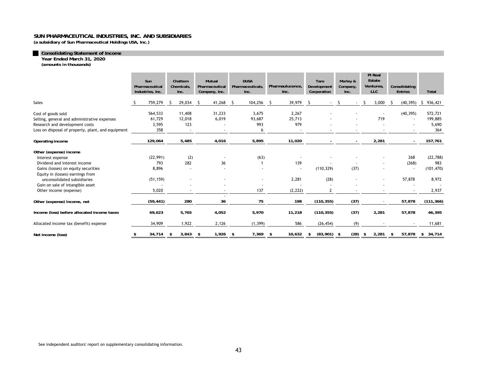**(a subsidiary of Sun Pharmaceutical Holdings USA, Inc.)** 

#### **Consolidating Statement of Income**

**Year Ended March 31, 2020**

*(amounts in thousands)*

|                                                                                                                               | Sun<br>Pharmaceutical<br>Industries, Inc. |      | Chattem<br>Chemicals,<br>Inc. |     | Mutual<br>Pharmaceutical<br>Company, Inc. | <b>DUSA</b><br>Pharmaceuticals.<br>Inc. |     | Pharmaulucence,<br>Inc.         | Taro<br>Development<br>Corporation | Morley &<br>Company,<br>Inc. | PI Real<br>Estate<br>Ventures,<br><b>LLC</b> |       | Consolidating<br><b>Entries</b> | Total                                            |
|-------------------------------------------------------------------------------------------------------------------------------|-------------------------------------------|------|-------------------------------|-----|-------------------------------------------|-----------------------------------------|-----|---------------------------------|------------------------------------|------------------------------|----------------------------------------------|-------|---------------------------------|--------------------------------------------------|
| Sales                                                                                                                         | 759,279                                   | S.   | 29,034                        | -S  | 41,268                                    | 104,256<br>S                            | S.  | 39,979                          | -S                                 | -S                           | -S                                           | 3,000 | (40, 395)<br>-S                 | 936,421<br>S.                                    |
| Cost of goods sold<br>Selling, general and administrative expenses<br>Research and development costs                          | 564,533<br>61,729<br>3,595<br>358         |      | 11,408<br>12,018<br>123       |     | 31,233<br>6,019                           | 3,675<br>93,687<br>993                  |     | 2,267<br>25,713<br>979          |                                    |                              |                                              | 719   | (40, 395)                       | 572,721<br>199,885<br>$\sim$<br>5,690<br>364     |
| Loss on disposal of property, plant, and equipment<br>Operating income                                                        | 129,064                                   |      | 5,485                         |     | 4,016                                     | 6<br>5,895                              |     | 11,020                          |                                    |                              |                                              | 2,281 |                                 | 157,761                                          |
| Other (expense) income<br>Interest expense<br>Dividend and interest income<br>Gains (losses) on equity securities             | (22, 991)<br>793<br>8,896                 |      | (2)<br>282                    |     | 36                                        | (63)                                    |     | 139<br>$\overline{\phantom{a}}$ | (110, 329)                         | (37)                         |                                              |       | 268<br>(268)                    | (22, 788)<br>983<br>(101, 470)<br>$\blacksquare$ |
| Equity in (losses) earnings from<br>unconsolidated subsidiaries<br>Gain on sale of intangible asset<br>Other income (expense) | (51, 159)<br>5,020                        |      |                               |     |                                           | 137                                     |     | 2,281<br>(2, 222)               | (28)<br>$\overline{2}$             |                              |                                              |       | 57,878                          | 8,972<br>2,937                                   |
| Other (expense) income, net                                                                                                   | (59, 441)                                 |      | 280                           |     | 36                                        | 75                                      |     | 198                             | (110, 355)                         | (37)                         |                                              |       | 57,878                          | (111, 366)                                       |
| Income (loss) before allocated income taxes                                                                                   | 69,623                                    |      | 5,765                         |     | 4,052                                     | 5,970                                   |     | 11,218                          | (110, 355)                         | (37)                         |                                              | 2,281 | 57,878                          | 46,395                                           |
| Allocated income tax (benefit) expense                                                                                        | 34,909                                    |      | 1,922                         |     | 2,126                                     | (1, 399)                                |     | 586                             | (26, 454)                          | (9)                          |                                              |       |                                 | 11,681                                           |
| Net income (loss)                                                                                                             | \$<br>34,714                              | - \$ | 3,843                         | -\$ | 1,926                                     | 7,369<br>-\$                            | -\$ | 10,632                          | $(83,901)$ \$<br>\$                | (28)                         | - \$                                         | 2,281 | 57,878<br>\$                    | 34,714<br>\$                                     |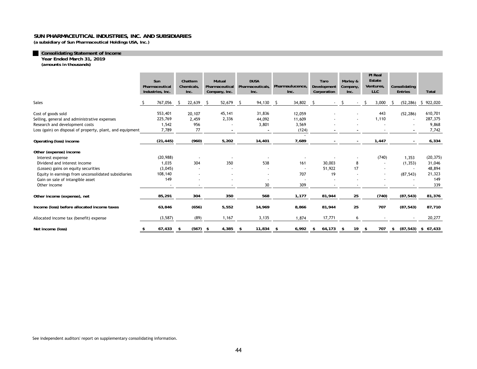**(a subsidiary of Sun Pharmaceutical Holdings USA, Inc.)** 

#### **Consolidating Statement of Income**

**Year Ended March 31, 2019**

*(amounts in thousands)*

|                                                           | Sun<br>Pharmaceutical<br>Industries, Inc. |           | Chattem<br>Chemicals,<br>Inc. |            | Mutual<br>Pharmaceutical<br>Company, Inc. |                          | <b>DUSA</b><br>Pharmaceuticals,<br>Inc. |        | Pharmaulucence,<br>Inc. |                          | Taro<br>Development<br>Corporation |        | Morley &<br>Company,<br>Inc. |                | PI Real<br>Estate<br>Ventures,<br><b>LLC</b> |       | Consolidating<br><b>Entries</b> |                          | Total                |
|-----------------------------------------------------------|-------------------------------------------|-----------|-------------------------------|------------|-------------------------------------------|--------------------------|-----------------------------------------|--------|-------------------------|--------------------------|------------------------------------|--------|------------------------------|----------------|----------------------------------------------|-------|---------------------------------|--------------------------|----------------------|
| <b>Sales</b>                                              |                                           | 767,056   |                               | 22,639     | -S                                        | 52,679                   | - S                                     | 94,130 | -S                      | 34,802                   | -S                                 | $\sim$ | S.                           | $\blacksquare$ | -S                                           | 3,000 |                                 | (52, 286)                | 922,020<br>S.        |
| Cost of goods sold                                        |                                           | 553,401   |                               | 20,107     |                                           | 45,141                   |                                         | 31,836 |                         | 12,059                   |                                    |        |                              |                |                                              | 443   |                                 | (52, 286)                | 610,701              |
| Selling, general and administrative expenses              |                                           | 225,769   |                               | 2,459      |                                           | 2,336                    |                                         | 44,092 |                         | 11,609                   |                                    |        |                              |                |                                              | 1,110 |                                 | $\overline{\phantom{a}}$ | 287,375              |
| Research and development costs                            |                                           | 1,542     |                               | 956        |                                           |                          |                                         | 3,801  |                         | 3,569                    |                                    |        |                              |                |                                              |       |                                 |                          | 9,868                |
| Loss (gain) on disposal of property, plant, and equipment |                                           | 7,789     |                               | 77         |                                           | $\overline{\phantom{a}}$ |                                         |        |                         | (124)                    |                                    |        |                              |                |                                              |       |                                 |                          | 7,742                |
|                                                           |                                           |           |                               |            |                                           |                          |                                         |        |                         | $\overline{\phantom{a}}$ |                                    |        |                              |                |                                              |       |                                 |                          |                      |
| Operating (loss) income                                   |                                           | (21, 445) |                               | (960)      |                                           | 5,202                    |                                         | 14,401 |                         | 7,689                    |                                    |        |                              |                |                                              | 1,447 |                                 |                          | 6,334                |
| Other (expense) income                                    |                                           |           |                               |            |                                           |                          |                                         |        |                         |                          |                                    |        |                              |                |                                              |       |                                 |                          |                      |
| Interest expense                                          |                                           | (20, 988) |                               |            |                                           |                          |                                         |        |                         |                          |                                    |        |                              |                |                                              | (740) |                                 | 1,353                    | (20, 375)            |
| Dividend and interest income                              |                                           | 1,035     |                               | 304        |                                           | 350                      |                                         | 538    |                         | 161                      |                                    | 30,003 |                              | 8              |                                              | ٠     |                                 | (1, 353)                 | 31,046               |
| (Losses) gains on equity securities                       |                                           | (3,045)   |                               |            |                                           |                          |                                         |        |                         |                          |                                    | 51,922 |                              | 17             |                                              |       |                                 |                          | 48,894               |
| Equity in earnings from unconsolidated subsidiaries       |                                           | 108,140   |                               |            |                                           | ٠                        |                                         |        |                         | 707                      |                                    | 19     |                              |                |                                              |       |                                 | (87, 543)                | 21,323               |
| Gain on sale of intangible asset                          |                                           | 149       |                               | ٠          |                                           | ٠                        |                                         |        |                         |                          |                                    |        |                              |                |                                              |       |                                 |                          | 149                  |
| Other income                                              |                                           |           |                               |            |                                           |                          |                                         | 30     |                         | 309                      |                                    |        |                              |                |                                              |       |                                 |                          | 339                  |
| Other income (expense), net                               |                                           | 85,291    |                               | 304        |                                           | 350                      |                                         | 568    |                         | 1,177                    |                                    | 81,944 |                              | 25             |                                              | (740) |                                 | (87, 543)                | 81,376               |
| Income (loss) before allocated income taxes               |                                           | 63,846    |                               | (656)      |                                           | 5,552                    |                                         | 14,969 |                         | 8,866                    |                                    | 81,944 |                              | 25             |                                              | 707   |                                 | (87, 543)                | 87,710               |
| Allocated income tax (benefit) expense                    |                                           | (3, 587)  |                               | (89)       |                                           | 1,167                    |                                         | 3,135  |                         | 1,874                    |                                    | 17,771 |                              | 6              |                                              |       |                                 |                          | 20,277               |
| Net income (loss)                                         | \$                                        | 67,433    | \$                            | $(567)$ \$ |                                           | 4,385                    | - \$                                    | 11,834 | \$                      | 6,992                    | \$                                 | 64,173 | -\$                          | 19             | \$                                           | 707   | \$                              |                          | $(87,543)$ \$ 67,433 |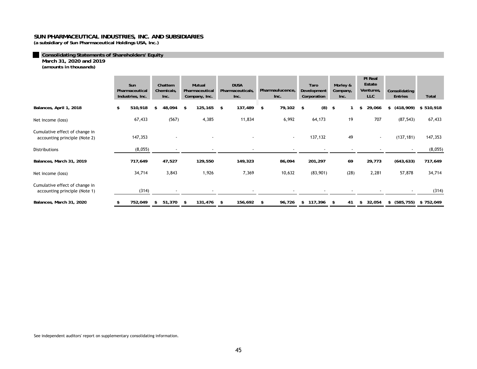**(a subsidiary of Sun Pharmaceutical Holdings USA, Inc.)** 

**Consolidating Statements of Shareholders' Equity**

**March 31, 2020 and 2019**

*(amounts in thousands)*

|                                                                 | Sun<br>Pharmaceutical<br>Industries, Inc. |    | Chattem<br>Chemicals,<br>Inc. |      | Mutual<br>Pharmaceutical<br>Company, Inc. | <b>DUSA</b><br>Pharmaceuticals,<br>Inc. |      | Pharmaulucence,<br>Inc.  |     | Taro<br>Development<br>Corporation | Morley &<br>Company,<br>Inc. | PI Real<br>Estate<br>Ventures,<br><b>LLC</b> | Consolidating<br><b>Entries</b> | Total     |
|-----------------------------------------------------------------|-------------------------------------------|----|-------------------------------|------|-------------------------------------------|-----------------------------------------|------|--------------------------|-----|------------------------------------|------------------------------|----------------------------------------------|---------------------------------|-----------|
| Balances, April 1, 2018                                         | \$<br>510,918                             |    | 48,094                        | - \$ | 125,165                                   | \$<br>137,489                           | \$   | 79,102                   | -\$ | (8)                                | \$                           | \$<br>29,066                                 | \$<br>(418,909)                 | \$510,918 |
| Net income (loss)                                               | 67,433                                    |    | (567)                         |      | 4,385                                     | 11,834                                  |      | 6,992                    |     | 64,173                             | 19                           | 707                                          | (87, 543)                       | 67,433    |
| Cumulative effect of change in<br>accounting principle (Note 2) | 147,353                                   |    |                               |      |                                           |                                         |      | $\blacksquare$           |     | 137,132                            | 49                           | $\overline{\phantom{a}}$                     | (137, 181)                      | 147,353   |
| Distributions                                                   | (8,055)                                   |    | $\overline{\phantom{a}}$      |      | $\overline{\phantom{a}}$                  | $\overline{\phantom{a}}$                |      | $\overline{\phantom{a}}$ |     | $\overline{\phantom{a}}$           |                              |                                              |                                 | (8,055)   |
| Balances, March 31, 2019                                        | 717,649                                   |    | 47,527                        |      | 129,550                                   | 149,323                                 |      | 86,094                   |     | 201,297                            | 69                           | 29,773                                       | (643, 633)                      | 717,649   |
| Net income (loss)                                               | 34,714                                    |    | 3,843                         |      | 1,926                                     | 7,369                                   |      | 10,632                   |     | (83,901)                           | (28)                         | 2,281                                        | 57,878                          | 34,714    |
| Cumulative effect of change in<br>accounting principle (Note 1) | (314)                                     |    |                               |      |                                           |                                         |      |                          |     |                                    |                              |                                              |                                 | (314)     |
| Balances, March 31, 2020                                        | \$<br>752,049                             | s. | 51,370                        | \$   | 131,476                                   | \$<br>156,692                           | - \$ | 96,726                   | \$  | 117,396                            | \$<br>41                     | \$<br>32,054                                 | \$<br>(585,755)                 | \$752,049 |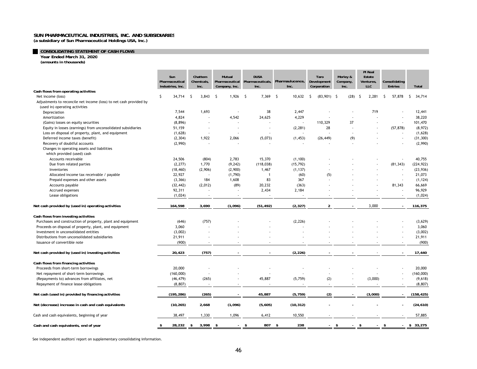**(a subsidiary of Sun Pharmaceutical Holdings USA, Inc.)** 

# **CONSOLIDATING STATEMENT OF CASH FLOWS Year Ended March 31, 2020**

*(amounts in thousands)* 

|                                                                    | Sun<br>Pharmaceutical<br>Industries, Inc. | Chattem<br>Chemicals,<br>Inc. | Mutual<br>Company, Inc.            | <b>DUSA</b><br>Pharmaceutical Pharmaceuticals,<br>Inc. | Pharmaulucence,<br>Inc.  | Taro<br>Development<br>Corporation | Morley &<br>Company<br>Inc. | PI Real<br>Estate<br>Ventures,<br><b>LLC</b> | Consolidating<br><b>Entries</b> | Total         |
|--------------------------------------------------------------------|-------------------------------------------|-------------------------------|------------------------------------|--------------------------------------------------------|--------------------------|------------------------------------|-----------------------------|----------------------------------------------|---------------------------------|---------------|
| Cash flows from operating activities                               |                                           |                               |                                    |                                                        |                          |                                    |                             |                                              |                                 |               |
| Net income (loss)                                                  | S.<br>34,714                              | 3,843<br>-S                   | 1,926<br>- \$                      | 7,369 \$<br>- \$                                       | 10,632                   | $(83,901)$ \$<br>-S                | (28)                        | -S<br>2.281                                  | 57,878<br>-S                    | 34,714<br>-S  |
| Adjustments to reconcile net income (loss) to net cash provided by |                                           |                               |                                    |                                                        |                          |                                    |                             |                                              |                                 |               |
| (used in) operating activities                                     |                                           |                               |                                    |                                                        |                          |                                    |                             |                                              |                                 |               |
| Depreciation                                                       | 7,544                                     | 1,693                         |                                    | 38                                                     | 2,447                    |                                    |                             | 719                                          |                                 | 12,441        |
| Amortization                                                       | 4,824                                     |                               | 4,542                              | 24,625                                                 | 4,229                    |                                    |                             |                                              |                                 | 38,220        |
| (Gains) losses on equity securities                                | (8, 896)                                  | ÷,                            |                                    |                                                        | $\overline{\phantom{a}}$ | 110,329                            | 37                          |                                              |                                 | 101,470       |
| Equity in losses (earnings) from unconsolidated subsidiaries       | 51,159                                    |                               |                                    | $\overline{\phantom{a}}$                               | (2, 281)                 | 28                                 |                             |                                              | (57, 878)                       | (8,972)       |
| Loss on disposal of property, plant, and equipment                 | (1,628)                                   | $\overline{\phantom{a}}$      |                                    |                                                        |                          |                                    |                             |                                              |                                 | (1,628)       |
| Deferred income taxes (benefit)                                    | (2, 304)                                  | 1,922                         | 2,066                              | (5,073)                                                | (1, 453)                 | (26, 449)                          | (9)                         |                                              |                                 | (31, 300)     |
| Recovery of doubtful accounts                                      | (2,990)                                   | ÷,                            |                                    |                                                        |                          |                                    | $\overline{\phantom{a}}$    |                                              |                                 | (2,990)       |
| Changes in operating assets and liabilities                        |                                           |                               |                                    |                                                        |                          |                                    |                             |                                              |                                 |               |
| which provided (used) cash                                         |                                           |                               |                                    |                                                        |                          |                                    |                             |                                              |                                 |               |
| Accounts receivable                                                | 24,506                                    | (804)                         | 2,783                              | 15,370                                                 | (1,100)                  |                                    |                             |                                              |                                 | 40,755        |
| Due from related parties                                           | (2, 277)                                  | 1,770                         | (9, 242)                           | (118, 038)                                             | (15, 792)                |                                    |                             |                                              | (81, 343)                       | (224, 922)    |
| Inventories                                                        | (18, 460)                                 | (2,906)                       | (2,900)                            | 1,467                                                  | (1, 137)                 |                                    |                             |                                              |                                 | (23,936)      |
| Allocated income tax receivable / payable                          | 22,927                                    | $\overline{\phantom{a}}$      | (1,790)                            | $\overline{1}$                                         | (60)                     | (5)                                |                             |                                              |                                 | 21,073        |
| Prepaid expenses and other assets                                  | (3, 366)                                  | 184                           | 1,608                              | 83                                                     | 367                      |                                    |                             |                                              |                                 | (1, 124)      |
| Accounts payable                                                   | (32, 442)                                 | (2,012)                       | (89)                               | 20,232                                                 | (363)                    |                                    |                             |                                              | 81,343                          | 66,669        |
| Accrued expenses                                                   | 92,311                                    |                               |                                    | 2,434                                                  | 2,184                    |                                    |                             |                                              |                                 | 96,929        |
| Lease obligations                                                  | (1,024)                                   | $\overline{\phantom{a}}$      | $\overline{\phantom{a}}$           | $\overline{\phantom{a}}$                               |                          |                                    |                             |                                              |                                 | (1,024)       |
| Net cash provided by (used in) operating activities                | 164,598                                   | 3,690                         | (1,096)                            | (51, 492)                                              | (2, 327)                 | $\overline{2}$                     | $\sim$                      | 3,000                                        |                                 | 116,375       |
|                                                                    |                                           |                               |                                    |                                                        |                          |                                    |                             |                                              |                                 |               |
| Cash flows from investing activities                               |                                           |                               |                                    |                                                        |                          |                                    |                             |                                              |                                 |               |
| Purchases and construction of property, plant and equipment        | (646)                                     | (757)                         |                                    |                                                        | (2, 226)                 |                                    |                             |                                              |                                 | (3,629)       |
| Proceeds on disposal of property, plant, and equipment             | 3,060                                     | ÷.                            |                                    |                                                        |                          |                                    |                             |                                              |                                 | 3,060         |
| Investment in unconsolidated entities                              | (3,002)                                   |                               |                                    |                                                        |                          |                                    |                             |                                              |                                 | (3,002)       |
| Distributions from unconsolidated subsidiaries                     | 21,911                                    |                               |                                    |                                                        |                          |                                    |                             |                                              |                                 | 21,911        |
| Issuance of convertible note                                       | (900)                                     | $\overline{\phantom{a}}$      |                                    |                                                        |                          |                                    |                             |                                              |                                 | (900)         |
| Net cash provided by (used in) investing activities                | 20,423                                    | (757)                         |                                    | ٠                                                      | (2, 226)                 |                                    |                             |                                              |                                 | 17,440        |
| Cash flows from financing activities                               |                                           |                               |                                    |                                                        |                          |                                    |                             |                                              |                                 |               |
| Proceeds from short-term borrowings                                | 20,000                                    |                               |                                    |                                                        |                          |                                    |                             |                                              |                                 | 20,000        |
| Net repayment of short-term borrowings                             | (160,000)                                 |                               |                                    |                                                        |                          |                                    |                             |                                              |                                 | (160,000)     |
| (Repayments to) advances from affiliates, net                      | (46, 479)                                 | (265)                         |                                    | 45,887                                                 | (5,759)                  | (2)                                |                             | (3,000)                                      |                                 | (9,618)       |
| Repayment of finance lease obligations                             | (8, 807)                                  | ÷,                            |                                    |                                                        |                          |                                    |                             |                                              |                                 | (8, 807)      |
|                                                                    |                                           |                               |                                    |                                                        |                          |                                    |                             |                                              |                                 |               |
| Net cash (used in) provided by financing activities                | (195, 286)                                | (265)                         |                                    | 45,887                                                 | (5, 759)                 | (2)                                |                             | (3,000)                                      |                                 | (158, 425)    |
| Net (decrease) increase in cash and cash equivalents               | (10, 265)                                 | 2,668                         | (1,096)                            | (5,605)                                                | (10, 312)                |                                    |                             |                                              |                                 | (24, 610)     |
| Cash and cash equivalents, beginning of year                       | 38,497                                    | 1,330                         | 1,096                              | 6,412                                                  | 10,550                   |                                    |                             |                                              |                                 | 57,885        |
| Cash and cash equivalents, end of year                             | \$<br>28,232                              | 3,998<br>s.                   | - \$<br>$\mathcal{L}^{\text{max}}$ | 807 \$<br>-\$                                          | 238                      | $\sim$                             | - \$<br>÷.                  | $\sqrt{2}$<br>$\mathcal{L}^{\mathcal{L}}$    | $\sqrt{3}$                      | $-$ \$ 33,275 |